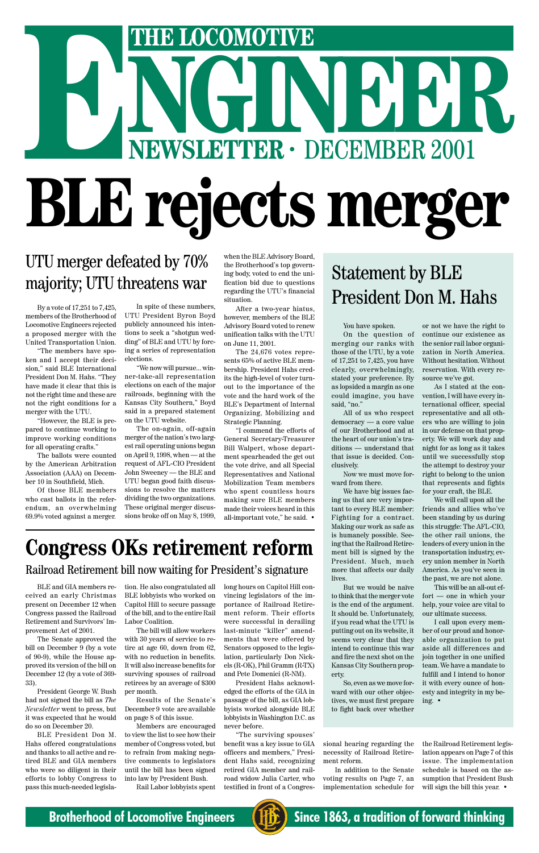# **NGINEER THE LOCOMOTIVE**<br>
NEWSLETTER · DECEMBER 2001 **BLE rejects merger**

# UTU merger defeated by 70% majority; UTU threatens war

By a vote of 17,251 to 7,425, members of the Brotherhood of Locomotive Engineers rejected a proposed merger with the United Transportation Union.

"The members have spoken and I accept their decision," said BLE International President Don M. Hahs. "They have made it clear that this is not the right time and these are not the right conditions for a merger with the UTU.

"However, the BLE is prepared to continue working to improve working conditions for all operating crafts."

The ballots were counted by the American Arbitration Association (AAA) on December 10 in Southfield, Mich.

Of those BLE members who cast ballots in the referendum, an overwhelming 69.9% voted against a merger. You have spoken.

On the question of merging our ranks with those of the UTU, by a vote of 17,251 to 7,425, you have clearly, overwhelmingly, stated your preference. By as lopsided a margin as one could imagine, you have said, "no."

All of us who respect democracy — a core value of our Brotherhood and at the heart of our union's traditions — understand that that issue is decided. Conclusively.

Now we must move forward from there.

We have big issues facing us that are very important to every BLE member: Fighting for a contract. Making our work as safe as is humanely possible. Seeing that the Railroad Retirement bill is signed by the President. Much, much more that affects our daily lives.

But we would be naïve to think that the merger vote is the end of the argument. It should be. Unfortunately, if you read what the UTU is putting out on its website, it seems very clear that they intend to continue this war and fire the next shot on the Kansas City Southern property. So, even as we move forward with our other objectives, we must first prepare to fight back over whether

# Statement by BLE President Don M. Hahs

In spite of these numbers, UTU President Byron Boyd publicly announced his intentions to seek a "shotgun wedding" of BLE and UTU by forcing a series of representation elections.

"We now will pursue... winner-take-all representation elections on each of the major railroads, beginning with the Kansas City Southern," Boyd said in a prepared statement on the UTU website.

The on-again, off-again merger of the nation's two largest rail operating unions began on April 9, 1998, when — at the request of AFL-CIO President John Sweeney — the BLE and UTU began good faith discussions to resolve the matters dividing the two organizations. These original merger discussions broke off on May 8, 1999,

or not we have the right to continue our existence as the senior rail labor organization in North America. Without hesitation. Without reservation. With every resource we've got.

As I stated at the convention, I will have every international officer, special representative and all others who are willing to join in our defense on that property. We will work day and night for as long as it takes until we successfully stop the attempt to destroy your right to belong to the union that represents and fights for your craft, the BLE.

We will call upon all the friends and allies who've been standing by us during this struggle: The AFL-CIO, the other rail unions, the leaders of every union in the transportation industry, every union member in North America. As you've seen in the past, we are not alone.

This will be an all-out effort — one in which your help, your voice are vital to our ultimate success.

I call upon every mem-

ber of our proud and honorable organization to put aside all differences and join together in one unified team. We have a mandate to fulfill and I intend to honor it with every ounce of honesty and integrity in my being. •

# **Congress OKs retirement reform** Railroad Retirement bill now waiting for President's signature

BLE and GIA members received an early Christmas present on December 12 when Congress passed the Railroad Retirement and Survivors' Im-

provement Act of 2001.

The Senate approved the bill on December 9 (by a vote of 90-9), while the House approved its version of the bill on December 12 (by a vote of 369- 33).

President George W. Bush had not signed the bill as *The Newsletter* went to press, but it was expected that he would do so on December 20.

BLE President Don M. Hahs offered congratulations and thanks to all active and retired BLE and GIA members who were so diligent in their efforts to lobby Congress to pass this much-needed legislation. He also congratulated all BLE lobbyists who worked on Capitol Hill to secure passage of the bill, and to the entire Rail Labor Coalition.

The bill will allow workers with 30 years of service to retire at age 60, down from 62, with no reduction in benefits. It will also increase benefits for surviving spouses of railroad retirees by an average of \$300 per month.

Results of the Senate's December 9 vote are available on page 8 of this issue.

Members are encouraged to view the list to see how their member of Congress voted, but to refrain from making negative comments to legislators until the bill has been signed into law by President Bush. Rail Labor lobbyists spent

long hours on Capitol Hill convincing legislators of the importance of Railroad Retirement reform. Their efforts were successful in derailing last-minute "killer" amendments that were offered by Senators opposed to the legislation, particularly Don Nickels (R-OK), Phil Gramm (R-TX) and Pete Domenici (R-NM). President Hahs acknowledged the efforts of the GIA in passage of the bill, as GIA lobbyists worked alongside BLE lobbyists in Washington D.C. as never before.

"The surviving spouses' benefit was a key issue to GIA officers and members," President Hahs said, recognizing retired GIA member and railroad widow Julia Carter, who testified in front of a Congres-

sional hearing regarding the necessity of Railroad Retirement reform.

In addition to the Senate voting results on Page 7, an implementation schedule for

the Railroad Retirement legislation appears on Page 7 of this issue. The implementation schedule is based on the assumption that President Bush will sign the bill this year. •



**Brotherhood of Locomotive Engineers (HE)** Since 1863, a tradition of forward thinking

when the BLE Advisory Board, the Brotherhood's top governing body, voted to end the unification bid due to questions regarding the UTU's financial situation.

After a two-year hiatus, however, members of the BLE Advisory Board voted to renew unification talks with the UTU on June 11, 2001.

The 24,676 votes represents 65% of active BLE membership. President Hahs credits the high-level of voter turnout to the importance of the vote and the hard work of the BLE's Department of Internal Organizing, Mobilizing and Strategic Planning.

"I commend the efforts of General Secretary-Treasurer Bill Walpert, whose department spearheaded the get out the vote drive, and all Special Representatives and National Mobilization Team members who spent countless hours making sure BLE members made their voices heard in this all-important vote," he said. •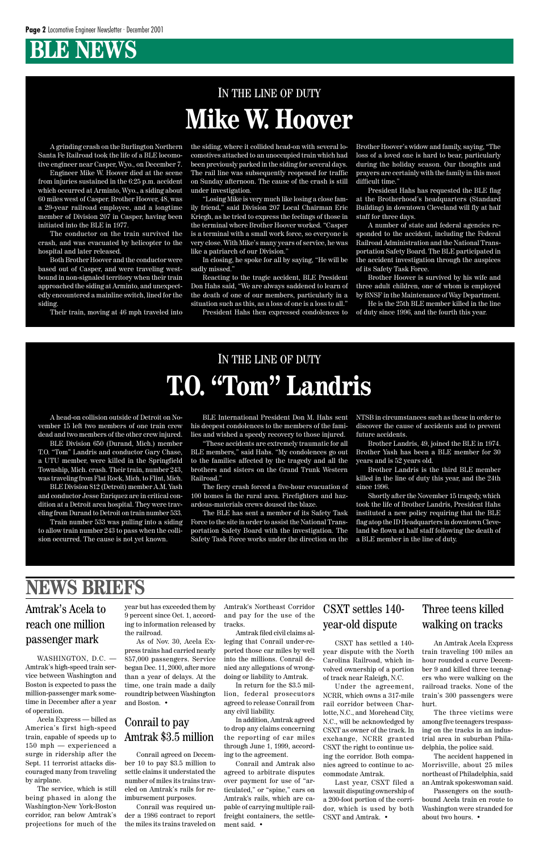# **BLE NEWS**

A grinding crash on the Burlington Northern Santa Fe Railroad took the life of a BLE locomotive engineer near Casper, Wyo., on December 7.

Engineer Mike W. Hoover died at the scene from injuries sustained in the 6:25 p.m. accident which occurred at Arminto, Wyo., a siding about 60 miles west of Casper. Brother Hoover, 48, was a 29-year railroad employee, and a longtime member of Division 207 in Casper, having been initiated into the BLE in 1977.

The conductor on the train survived the crash, and was evacuated by helicopter to the hospital and later released.

Both Brother Hoover and the conductor were based out of Casper, and were traveling westbound in non-signaled territory when their train approached the siding at Arminto, and unexpectedly encountered a mainline switch, lined for the siding.

Their train, moving at 46 mph traveled into

the siding, where it collided head-on with several locomotives attached to an unoccupied train which had been previously parked in the siding for several days. The rail line was subsequently reopened for traffic on Sunday afternoon. The cause of the crash is still under investigation.

"Losing Mike is very much like losing a close family friend," said Division 207 Local Chairman Eric Kriegh, as he tried to express the feelings of those in the terminal where Brother Hoover worked. "Casper is a terminal with a small work force, so everyone is very close. With Mike's many years of service, he was like a patriarch of our Division."

In closing, he spoke for all by saying, "He will be sadly missed."

Reacting to the tragic accident, BLE President Don Hahs said, "We are always saddened to learn of the death of one of our members, particularly in a situation such as this, as a loss of one is a loss to all."

President Hahs then expressed condolences to

Brother Hoover's widow and family, saying, "The loss of a loved one is hard to bear, particularly during the holiday season. Our thoughts and prayers are certainly with the family in this most difficult time."

President Hahs has requested the BLE flag at the Brotherhood's headquarters (Standard Building) in downtown Cleveland will fly at half staff for three days.

A number of state and federal agencies responded to the accident, including the Federal Railroad Administration and the National Transportation Safety Board. The BLE participated in the accident investigation through the auspices of its Safety Task Force.

Brother Hoover is survived by his wife and three adult children, one of whom is employed by BNSF in the Maintenance of Way Department.

He is the 25th BLE member killed in the line of duty since 1996, and the fourth this year.

# IN THE LINE OF DUTY **Mike W. Hoover**

A head-on collision outside of Detroit on November 15 left two members of one train crew dead and two members of the other crew injured.

BLE Division 650 (Durand, Mich.) member T.O. "Tom" Landris and conductor Gary Chase, a UTU member, were killed in the Springfield Township, Mich. crash. Their train, number 243, was traveling from Flat Rock, Mich. to Flint, Mich.

BLE Division 812 (Detroit) member A.M. Yash and conductor Jesse Enriquez are in critical condition at a Detroit area hospital. They were traveling from Durand to Detroit on train number 533.

Train number 533 was pulling into a siding to allow train number 243 to pass when the collision occurred. The cause is not yet known.

BLE International President Don M. Hahs sent his deepest condolences to the members of the families and wished a speedy recovery to those injured.

"These accidents are extremely traumatic for all BLE members," said Hahs. "My condolences go out to the families affected by the tragedy and all the brothers and sisters on the Grand Trunk Western Railroad."

The fiery crash forced a five-hour evacuation of 100 homes in the rural area. Firefighters and hazardous-materials crews doused the blaze.

The BLE has sent a member of its Safety Task Force to the site in order to assist the National Transportation Safety Board with the investigation. The Safety Task Force works under the direction on the NTSB in circumstances such as these in order to discover the cause of accidents and to prevent future accidents.

Brother Landris, 49, joined the BLE in 1974. Brother Yash has been a BLE member for 30 years and is 52 years old.

Brother Landris is the third BLE member killed in the line of duty this year, and the 24th since 1996.

Shortly after the November 15 tragedy, which took the life of Brother Landris, President Hahs instituted a new policy requiring that the BLE flag atop the ID Headquarters in downtown Cleveland be flown at half staff following the death of a BLE member in the line of duty.

# IN THE LINE OF DUTY **T.O. "Tom" Landris**

Amtrak's Acela to reach one million

### passenger mark

WASHINGTON, D.C. -

Amtrak's high-speed train service between Washington and Boston is expected to pass the million-passenger mark sometime in December after a year of operation.

Acela Express — billed as America's first high-speed train, capable of speeds up to 150 mph — experienced a surge in ridership after the Sept. 11 terrorist attacks discouraged many from traveling by airplane.

The service, which is still being phased in along the Washington-New York-Boston corridor, ran below Amtrak's projections for much of the

#### Conrail to pay Amtrak \$3.5 million

Conrail agreed on December 10 to pay \$3.5 million to settle claims it understated the number of miles its trains traveled on Amtrak's rails for reimbursement purposes.

Conrail was required under a 1986 contract to report the miles its trains traveled on

An Amtrak Acela Express train traveling 100 miles an hour rounded a curve December 9 and killed three teenagers who were walking on the railroad tracks. None of the train's 300 passengers were hurt.

The three victims were among five teenagers trespassing on the tracks in an industrial area in suburban Philadelphia, the police said.

The accident happened in Morrisville, about 25 miles northeast of Philadelphia, said an Amtrak spokeswoman said.

Passengers on the southbound Acela train en route to Washington were stranded for about two hours. •

Three teens killed walking on tracks

CSXT has settled a 140 year dispute with the North Carolina Railroad, which involved ownership of a portion of track near Raleigh, N.C.

Under the agreement, NCRR, which owns a 317-mile rail corridor between Charlotte, N.C., and Morehead City, N.C., will be acknowledged by CSXT as owner of the track. In exchange, NCRR granted CSXT the right to continue using the corridor. Both companies agreed to continue to accommodate Amtrak.

Last year, CSXT filed a lawsuit disputing ownership of a 200-foot portion of the corridor, which is used by both CSXT and Amtrak. •

CSXT settles 140 year-old dispute

# **NEWS BRIEFS**

the railroad.

year but has exceeded them by Amtrak's Northeast Corridor 9 percent since Oct. 1, accord-and pay for the use of the

As of Nov. 30, Acela Express trains had carried nearly 857,000 passengers. Service began Dec. 11, 2000, after more than a year of delays. At the time, one train made a daily roundtrip between Washington and Boston. •

ing to information released by tracks.

Amtrak filed civil claims al-

leging that Conrail under-reported those car miles by well into the millions. Conrail denied any allegations of wrongdoing or liability to Amtrak.

In return for the \$3.5 million, federal prosecutors agreed to release Conrail from any civil liability.

In addition, Amtrak agreed to drop any claims concerning the reporting of car miles through June 1, 1999, according to the agreement.

Conrail and Amtrak also agreed to arbitrate disputes over payment for use of "articulated," or "spine," cars on Amtrak's rails, which are capable of carrying multiple railfreight containers, the settlement said. •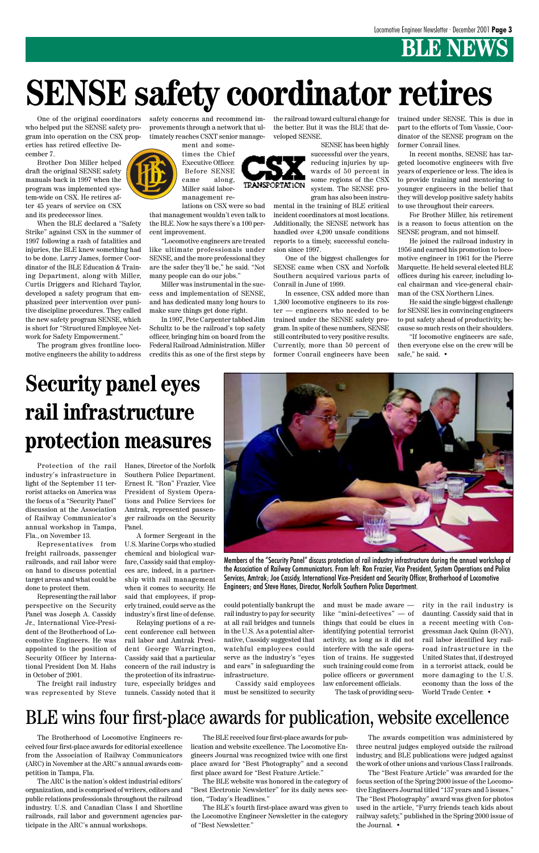# *B* NEWS

# **SENSE safety coordinator retires**

TRANSPORTATION

# **Security panel eyes rail infrastructure protection measures**

Protection of the rail industry's infrastructure in light of the September 11 terrorist attacks on America was the focus of a "Security Panel" discussion at the Association of Railway Communicator's annual workshop in Tampa, Fla., on November 13.

Representatives from freight railroads, passenger railroads, and rail labor were on hand to discuss potential target areas and what could be done to protect them.

Representing the rail labor perspective on the Security Panel was Joseph A. Cassidy Jr., International Vice-President of the Brotherhood of Locomotive Engineers. He was appointed to the position of Security Officer by International President Don M. Hahs in October of 2001.

The freight rail industry was represented by Steve Hanes, Director of the Norfolk Southern Police Department. Ernest R. "Ron" Frazier, Vice President of System Operations and Police Services for Amtrak, represented passenger railroads on the Security Panel.

A former Sergeant in the U.S. Marine Corps who studied chemical and biological warfare, Cassidy said that employees are, indeed, in a partnership with rail management when it comes to security. He said that employees, if properly trained, could serve as the industry's first line of defense.

Relaying portions of a re-

cent conference call between rail labor and Amtrak President George Warrington, Cassidy said that a particular concern of the rail industry is the protection of its infrastructure, especially bridges and

tunnels. Cassidy noted that it

could potentially bankrupt the rail industry to pay for security at all rail bridges and tunnels

in the U.S. As a potential alternative, Cassidy suggested that watchful employees could serve as the industry's "eyes and ears" in safeguarding the infrastructure.

Cassidy said employees must be sensitized to security

and must be made aware like "mini-detectives" — of things that could be clues in identifying potential terrorist activity, as long as it did not interfere with the safe operation of trains. He suggested such training could come from police officers or government law enforcement officials.

The task of providing secu-

rity in the rail industry is daunting. Cassidy said that in a recent meeting with Congressman Jack Quinn (R-NY), rail labor identified key railroad infrastructure in the United States that, if destroyed in a terrorist attack, could be more damaging to the U.S. economy than the loss of the World Trade Center. •



Members of the "Security Panel" discuss protection of rail industry infrastructure during the annual workshop of the Association of Railway Communicators. From left: Ron Frazier, Vice President, System Operations and Police Services, Amtrak; Joe Cassidy, International Vice-President and Security Officer, Brotherhood of Locomotive Engineers; and Steve Hanes, Director, Norfolk Southern Police Department.

# BLE wins four first-place awards for publication, website excellence

The Brotherhood of Locomotive Engineers received four first-place awards for editorial excellence from the Association of Railway Communicators (ARC) in November at the ARC's annual awards competition in Tampa, Fla.

The ARC is the nation's oldest industrial editors' organization, and is comprised of writers, editors and public relations professionals throughout the railroad industry. U.S. and Canadian Class I and Shortline railroads, rail labor and government agencies participate in the ARC's annual workshops.

The BLE received four first-place awards for publication and website excellence. The Locomotive Engineers Journal was recognized twice with one first place award for "Best Photography" and a second first place award for "Best Feature Article."

The BLE website was honored in the category of "Best Electronic Newsletter" for its daily news section, "Today's Headlines."

The BLE's fourth first-place award was given to the Locomotive Engineer Newsletter in the category of "Best Newsletter."

"If locomotive engineers are safe, then everyone else on the crew will be safe," he said. •

The awards competition was administered by three neutral judges employed outside the railroad industry, and BLE publications were judged against the work of other unions and various Class I railroads.

The "Best Feature Article" was awarded for the focus section of the Spring 2000 issue of the Locomotive Engineers Journal titled "137 years and 5 issues." The "Best Photography" award was given for photos used in the article, "Furry friends teach kids about railway safety," published in the Spring 2000 issue of the Journal. •

One of the original coordinators who helped put the SENSE safety program into operation on the CSX properties has retired effective December 7.

Brother Don Miller helped draft the original SENSE safety manuals back in 1997 when the program was implemented system-wide on CSX. He retires after 45 years of service on CSX and its predecessor lines.

When the BLE declared a "Safety Strike" against CSX in the summer of 1997 following a rash of fatalities and injuries, the BLE knew something had to be done. Larry James, former Coordinator of the BLE Education & Training Department, along with Miller, Curtis Driggers and Richard Taylor, developed a safety program that emphasized peer intervention over punitive discipline procedures. They called the new safety program SENSE, which is short for "Structured Employee Network for Safety Empowerment."

The program gives frontline locomotive engineers the ability to address safety concerns and recommend improvements through a network that ultimately reaches CSXT senior manage-



times the Chief Executive Officer. Before SENSE came along, Miller said labormanagement re-

lations on CSX were so bad that management wouldn't even talk to the BLE. Now he says there's a 100 percent improvement.

"Locomotive engineers are treated like ultimate professionals under SENSE, and the more professional they are the safer they'll be," he said. "Not many people can do our jobs."

Miller was instrumental in the success and implementation of SENSE, and has dedicated many long hours to make sure things get done right.

In 1997, Pete Carpenter tabbed Jim Schultz to be the railroad's top safety officer, bringing him on board from the Federal Railroad Administration. Miller credits this as one of the first steps by the railroad toward cultural change for the better. But it was the BLE that developed SENSE.

> SENSE has been highly successful over the years, reducing injuries by upwards of 50 percent in some regions of the CSX system. The SENSE program has also been instru-

mental in the training of BLE critical incident coordinators at most locations. Additionally, the SENSE network has handled over 4,200 unsafe conditions reports to a timely, successful conclusion since 1997.

One of the biggest challenges for SENSE came when CSX and Norfolk Southern acquired various parts of Conrail in June of 1999.

In essence, CSX added more than 1,300 locomotive engineers to its roster — engineers who needed to be trained under the SENSE safety program. In spite of these numbers, SENSE still contributed to very positive results. Currently, more than 50 percent of former Conrail engineers have been

trained under SENSE. This is due in part to the efforts of Tom Vassie, Coordinator of the SENSE program on the former Conrail lines.

In recent months, SENSE has targeted locomotive engineers with five years of experience or less. The idea is to provide training and mentoring to younger engineers in the belief that they will develop positive safety habits to use throughout their careers.

For Brother Miller, his retirement is a reason to focus attention on the SENSE program, and not himself.

He joined the railroad industry in 1956 and earned his promotion to locomotive engineer in 1961 for the Pierre Marquette. He held several elected BLE offices during his career, including local chairman and vice-general chairman of the CSX Northern Lines.

He said the single biggest challenge for SENSE lies in convincing engineers to put safety ahead of productivity, because so much rests on their shoulders.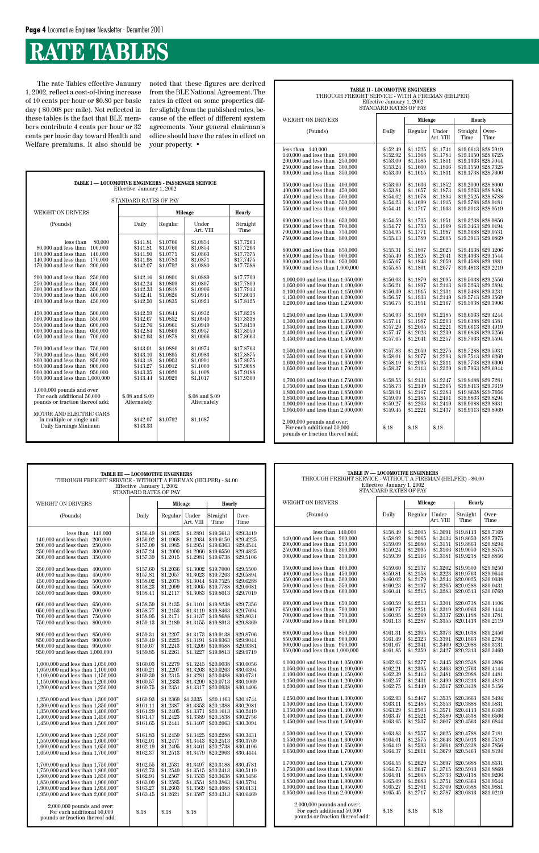# **RATE TABLES**

| TABLE I - LOCOMOTIVE ENGINEERS - PASSENGER SERVICE<br>Effective January 1, 2002                                                                                                                                                                                                                                                                                                                                                                                                                                                                                                                                                                                                                                                                                                                                                                                                                  |                                                                                                                                                                                                                                                                                            |                                                                                                                                                                                                                                                          |                                                                                                                                                                                                                                                                                            |                                                                                                                                                                                                                                                                               |  |  |  |  |  |
|--------------------------------------------------------------------------------------------------------------------------------------------------------------------------------------------------------------------------------------------------------------------------------------------------------------------------------------------------------------------------------------------------------------------------------------------------------------------------------------------------------------------------------------------------------------------------------------------------------------------------------------------------------------------------------------------------------------------------------------------------------------------------------------------------------------------------------------------------------------------------------------------------|--------------------------------------------------------------------------------------------------------------------------------------------------------------------------------------------------------------------------------------------------------------------------------------------|----------------------------------------------------------------------------------------------------------------------------------------------------------------------------------------------------------------------------------------------------------|--------------------------------------------------------------------------------------------------------------------------------------------------------------------------------------------------------------------------------------------------------------------------------------------|-------------------------------------------------------------------------------------------------------------------------------------------------------------------------------------------------------------------------------------------------------------------------------|--|--|--|--|--|
| STANDARD RATES OF PAY                                                                                                                                                                                                                                                                                                                                                                                                                                                                                                                                                                                                                                                                                                                                                                                                                                                                            |                                                                                                                                                                                                                                                                                            |                                                                                                                                                                                                                                                          |                                                                                                                                                                                                                                                                                            |                                                                                                                                                                                                                                                                               |  |  |  |  |  |
| <b>WEIGHT ON DRIVERS</b>                                                                                                                                                                                                                                                                                                                                                                                                                                                                                                                                                                                                                                                                                                                                                                                                                                                                         |                                                                                                                                                                                                                                                                                            |                                                                                                                                                                                                                                                          | <b>Mileage</b>                                                                                                                                                                                                                                                                             | Hourly                                                                                                                                                                                                                                                                        |  |  |  |  |  |
| (Pounds)                                                                                                                                                                                                                                                                                                                                                                                                                                                                                                                                                                                                                                                                                                                                                                                                                                                                                         | Daily                                                                                                                                                                                                                                                                                      | Regular                                                                                                                                                                                                                                                  | Under<br>Art. VIII                                                                                                                                                                                                                                                                         | Straight<br>Time                                                                                                                                                                                                                                                              |  |  |  |  |  |
| less than<br>80,000<br>100,000<br>80,000 and less than<br>100,000 and less than<br>140,000<br>140,000 and less than<br>170,000<br>$170,000$ and less than<br>200,000<br>200,000 and less than<br>250,000<br>250,000 and less than<br>300,000<br>300,000 and less than<br>350,000<br>350,000 and less than<br>400.000<br>400,000 and less than<br>450,000<br>450,000 and less than<br>500,000<br>500,000 and less than<br>550,000<br>550,000 and less than<br>600,000<br>$600.000$ and less than<br>650,000<br>650,000 and less than<br>700,000<br>750,000<br>700,000 and less than<br>750,000 and less than<br>800,000<br>800,000 and less than<br>850,000<br>850,000 and less than<br>900,000<br>900,000 and less than<br>950,000<br>950,000 and less than 1,000,000<br>$1,000,000$ pounds and over<br>For each additional 50,000<br>pounds or fraction thereof add:<br>MOTOR AND ELECTRIC CARS | \$141.81<br>\$141.81<br>\$141.90<br>\$141.98<br>\$142.07<br>\$142.16<br>\$142.24<br>\$142.33<br>\$142.41<br>\$142.50<br>\$142.59<br>\$142.67<br>\$142.76<br>\$142.84<br>\$142.93<br>\$143.01<br>\$143.10<br>\$143.18<br>\$143.27<br>\$143.35<br>\$143.44<br>\$.08 and \$.09<br>Alternately | \$1.0766<br>\$1.0766<br>\$1.0775<br>\$1.0783<br>\$1.0792<br>\$1.0801<br>\$1.0809<br>\$1.0818<br>\$1.0826<br>\$1.0835<br>\$1.0844<br>\$1.0852<br>\$1.0861<br>\$1.0869<br>\$1.0878<br>\$1.0886<br>\$1.0895<br>\$1.0903<br>\$1.0912<br>\$1.0920<br>\$1.0929 | \$1.0854<br>\$1.0854<br>\$1.0863<br>\$1.0871<br>\$1.0880<br>\$1.0889<br>\$1.0897<br>\$1.0906<br>\$1.0914<br>\$1.0923<br>\$1.0932<br>\$1.0940<br>\$1.0949<br>\$1.0957<br>\$1.0966<br>\$1.0974<br>\$1.0983<br>\$1.0991<br>\$1.1000<br>\$1.1008<br>\$1.1017<br>\$.08 and \$.09<br>Alternately | \$17.7263<br>\$17.7263<br>\$17.7375<br>\$17.7475<br>\$17.7588<br>\$17.7700<br>\$17.7800<br>\$17.7913<br>\$17.8013<br>\$17.8125<br>\$17.8238<br>\$17.8338<br>\$17.8450<br>\$17.8550<br>\$17.8663<br>\$17.8763<br>\$17.8875<br>\$17.8975<br>\$17.9088<br>\$17.9188<br>\$17.9300 |  |  |  |  |  |
| In multiple or single unit<br>Daily Earnings Minimun                                                                                                                                                                                                                                                                                                                                                                                                                                                                                                                                                                                                                                                                                                                                                                                                                                             | \$142.07<br>\$143.33                                                                                                                                                                                                                                                                       | \$1.0792                                                                                                                                                                                                                                                 | \$1.1687                                                                                                                                                                                                                                                                                   |                                                                                                                                                                                                                                                                               |  |  |  |  |  |

The rate Tables effective January 1, 2002, reflect a cost-of-living increase of 10 cents per hour or \$0.80 per basic day ( \$0.008 per mile). Not reflected in these tables is the fact that BLE members contribute 4 cents per hour or 32 cents per basic day toward Health and Welfare premiums. It also should be

noted that these figures are derived from the BLE National Agreement. The rates in effect on some properties differ slightly from the published rates, because of the effect of different system agreements. Your general chairman's office should have the rates in effect on your property. •

| <b>TABLE II - LOCOMOTIVE ENGINEERS</b><br>THROUGH FREIGHT SERVICE - WITH A FIREMAN (HELPER)                                                                                                                                                                                                                                                                                                                                                                                                                                                                                                                                                                                                                                                                                                                                                                                                                                                                                                                                                                                                                        |                                                                                                                                                                                                                                                                                                                                                                      |                                                                                                                                                                                                                                                                                                                                                                      |                                                                                                                                                                                                                                                                                                                                                                      |                                                                                                                                                                                                                                                                                                                      |                                                                                                                                                                                                                                                                                                                                                                                                                                                                |  |  |  |
|--------------------------------------------------------------------------------------------------------------------------------------------------------------------------------------------------------------------------------------------------------------------------------------------------------------------------------------------------------------------------------------------------------------------------------------------------------------------------------------------------------------------------------------------------------------------------------------------------------------------------------------------------------------------------------------------------------------------------------------------------------------------------------------------------------------------------------------------------------------------------------------------------------------------------------------------------------------------------------------------------------------------------------------------------------------------------------------------------------------------|----------------------------------------------------------------------------------------------------------------------------------------------------------------------------------------------------------------------------------------------------------------------------------------------------------------------------------------------------------------------|----------------------------------------------------------------------------------------------------------------------------------------------------------------------------------------------------------------------------------------------------------------------------------------------------------------------------------------------------------------------|----------------------------------------------------------------------------------------------------------------------------------------------------------------------------------------------------------------------------------------------------------------------------------------------------------------------------------------------------------------------|----------------------------------------------------------------------------------------------------------------------------------------------------------------------------------------------------------------------------------------------------------------------------------------------------------------------|----------------------------------------------------------------------------------------------------------------------------------------------------------------------------------------------------------------------------------------------------------------------------------------------------------------------------------------------------------------------------------------------------------------------------------------------------------------|--|--|--|
|                                                                                                                                                                                                                                                                                                                                                                                                                                                                                                                                                                                                                                                                                                                                                                                                                                                                                                                                                                                                                                                                                                                    | Effective January 1, 2002<br>STANDARD RATES OF PAY                                                                                                                                                                                                                                                                                                                   |                                                                                                                                                                                                                                                                                                                                                                      |                                                                                                                                                                                                                                                                                                                                                                      |                                                                                                                                                                                                                                                                                                                      |                                                                                                                                                                                                                                                                                                                                                                                                                                                                |  |  |  |
| WEIGHT ON DRIVERS                                                                                                                                                                                                                                                                                                                                                                                                                                                                                                                                                                                                                                                                                                                                                                                                                                                                                                                                                                                                                                                                                                  |                                                                                                                                                                                                                                                                                                                                                                      | Mileage                                                                                                                                                                                                                                                                                                                                                              |                                                                                                                                                                                                                                                                                                                                                                      | Hourly                                                                                                                                                                                                                                                                                                               |                                                                                                                                                                                                                                                                                                                                                                                                                                                                |  |  |  |
| (Pounds)                                                                                                                                                                                                                                                                                                                                                                                                                                                                                                                                                                                                                                                                                                                                                                                                                                                                                                                                                                                                                                                                                                           | Daily                                                                                                                                                                                                                                                                                                                                                                | Regular                                                                                                                                                                                                                                                                                                                                                              | Under<br>Art. VIII                                                                                                                                                                                                                                                                                                                                                   | Straight<br>Time                                                                                                                                                                                                                                                                                                     | Over-<br>Time                                                                                                                                                                                                                                                                                                                                                                                                                                                  |  |  |  |
| less than $140,000$<br>140,000 and less than<br>200,000<br>200,000 and less than<br>250,000<br>250,000 and less than<br>300,000<br>300,000 and less than<br>350,000<br>350,000 and less than<br>400,000<br>400,000 and less than<br>450.000<br>450,000 and less than<br>500,000<br>500,000 and less than<br>550,000<br>550,000 and less than<br>600,000<br>600,000 and less than<br>650,000<br>650,000 and less than<br>700,000<br>700,000 and less than<br>750,000<br>750,000 and less than<br>800,000<br>800,000 and less than<br>850,000<br>850,000 and less than<br>900,000<br>900,000 and less than<br>950,000<br>950,000 and less than 1,000,000<br>1,000,000 and less than 1,050,000<br>1,050,000 and less than 1,100,000<br>1,100,000 and less than 1,150,000<br>1,150,000 and less than 1,200,000<br>1,200,000 and less than 1,250,000<br>1,250,000 and less than 1,300,000<br>1,300,000 and less than 1,350,000<br>1,350,000 and less than 1,400,000<br>1.400,000 and less than 1.450,000<br>1,450,000 and less than 1,500,000<br>1.500,000 and less than 1.550,000<br>1,550,000 and less than 1,600,000 | \$152.49<br>\$152.92<br>\$153.09<br>\$153.24<br>\$153.39<br>\$153.60<br>\$153.81<br>\$154.02<br>\$154.23<br>\$154.41<br>\$154.59<br>\$154.77<br>\$154.95<br>\$155.13<br>\$155.31<br>\$155.49<br>\$155.67<br>\$155.85<br>\$156.03<br>\$156.21<br>\$156.39<br>\$156.57<br>\$156.75<br>\$156.93<br>\$157.11<br>\$157.29<br>\$157.47<br>\$157.65<br>\$157.83<br>\$158.01 | \$1.1525<br>\$1.1568<br>\$1.1585<br>\$1.1600<br>\$1.1615<br>\$1.1636<br>\$1.1657<br>\$1.1678<br>\$1.1699<br>\$1.1717<br>\$1.1735<br>\$1.1753<br>\$1.1771<br>\$1.1789<br>\$1.1807<br>\$1.1825<br>\$1.1843<br>\$1.1861<br>\$1.1879<br>\$1.1897<br>\$1.1915<br>\$1.1933<br>\$1.1951<br>\$1.1969<br>\$1.1987<br>\$1.2005<br>\$1.2023<br>\$1.2041<br>\$1.2059<br>\$1.2077 | \$1.1741<br>\$1.1784<br>\$1.1801<br>\$1.1816<br>\$1.1831<br>\$1.1852<br>\$1.1873<br>\$1.1894<br>\$1.1915<br>\$1.1933<br>\$1.1951<br>\$1.1969<br>\$1.1987<br>\$1.2005<br>\$1.2023<br>\$1.2041<br>\$1.2059<br>\$1.2077<br>\$1.2095<br>\$1.2113<br>\$1.2131<br>\$1.2149<br>\$1.2167<br>\$1.2185<br>\$1.2203<br>\$1.2221<br>\$1.2239<br>\$1.2257<br>\$1.2275<br>\$1.2293 | \$19.0613<br>\$19.1150<br>\$19.1550<br>\$19.1738<br>\$19.2000<br>\$19.2263<br>\$19.2525<br>\$19.2788<br>\$19.3238<br>\$19.3463<br>\$19.3688<br>\$19.4138<br>\$19.4363<br>\$19.4588<br>\$19.4813<br>\$19.5038<br>\$19.5713<br>\$19.6163<br>\$19.6388<br>\$19.6613<br>\$19.6838<br>\$19.7063<br>\$19.7288<br>\$19.7513 | \$28.5919<br>\$28.6725<br>\$19.1363 \$28.7044<br>\$28.7325<br>\$28.7606<br>\$28,8000<br>\$28.8394<br>\$28.8788<br>\$28.9181<br>\$19.3013 \$28.9519<br>\$28.9856<br>\$29.0194<br>\$29.0531<br>\$19.3913 \$29.0869<br>\$29.1206<br>\$29.1544<br>\$29.1881<br>\$29.2219<br>\$29.2556<br>\$19.5263 \$29.2894<br>\$19.5488 \$29.3231<br>\$29.3569<br>\$19.5938 \$29.3906<br>\$29.4244<br>\$29.4581<br>\$29.4919<br>\$29.5256<br>\$29.5594<br>\$29.5931<br>\$29.6269 |  |  |  |
| 1,600,000 and less than 1,650,000<br>1,650,000 and less than 1,700,000<br>1,700,000 and less than 1,750,000<br>1,750,000 and less than 1,800,000<br>1,800,000 and less than 1,850,000<br>1,850,000 and less than 1,900,000<br>1,900,000 and less than 1,950,000<br>1,950,000 and less than 2,000,000                                                                                                                                                                                                                                                                                                                                                                                                                                                                                                                                                                                                                                                                                                                                                                                                               | \$158.19<br>\$158.37<br>\$158.55<br>\$158.73<br>\$158.91<br>\$159.09<br>\$159.27<br>\$159.45                                                                                                                                                                                                                                                                         | \$1.2095<br>\$1.2113<br>\$1.2131<br>\$1.2149<br>\$1.2167<br>\$1.2185<br>\$1.2203<br>\$1.2221                                                                                                                                                                                                                                                                         | \$1.2311<br>\$1.2329<br>\$1.2347<br>\$1.2365<br>\$1.2383<br>\$1.2401<br>\$1.2419<br>\$1.2437                                                                                                                                                                                                                                                                         | \$19.7738<br>\$19.8188<br>\$19.8413<br>\$19.9088<br>\$19.9313                                                                                                                                                                                                                                                        | \$29.6606<br>\$19.7963 \$29.6944<br>\$29.7281<br>\$29.7619<br>\$19.8638 \$29.7956<br>\$19.8863 \$29.8294<br>\$29.8631<br>\$29.8969                                                                                                                                                                                                                                                                                                                             |  |  |  |
| $2,000,000$ pounds and over:<br>For each additional 50,000<br>pounds or fraction thereof add:                                                                                                                                                                                                                                                                                                                                                                                                                                                                                                                                                                                                                                                                                                                                                                                                                                                                                                                                                                                                                      | \$.18                                                                                                                                                                                                                                                                                                                                                                | \$.18                                                                                                                                                                                                                                                                                                                                                                | \$.18                                                                                                                                                                                                                                                                                                                                                                |                                                                                                                                                                                                                                                                                                                      |                                                                                                                                                                                                                                                                                                                                                                                                                                                                |  |  |  |

|                                                                                                                                                                                                                                  | <b>TABLE III - LOCOMOTIVE ENGINEERS</b><br>THROUGH FREIGHT SERVICE - WITHOUT A FIREMAN (HELPER) - \$4.00<br>Effective January 1, 2002<br>STANDARD RATES OF PAY<br>Mileage<br><b>Hourly</b> |                                                                      |                                                          |                                                                                                                     |                                                                            | <b>TABLE IV - LOCOMOTIVE ENGINEERS</b><br>THROUGH FREIGHT SERVICE - WITHOUT A FIREMAN (HELPER) - \$6.00<br>Effective January 1, 2002<br>STANDARD RATES OF PAY |                                                                                                                                                                                                                            |                                                                      |                                                                      |                                                                      |                                                                                                       |                                                                            |
|----------------------------------------------------------------------------------------------------------------------------------------------------------------------------------------------------------------------------------|--------------------------------------------------------------------------------------------------------------------------------------------------------------------------------------------|----------------------------------------------------------------------|----------------------------------------------------------|---------------------------------------------------------------------------------------------------------------------|----------------------------------------------------------------------------|---------------------------------------------------------------------------------------------------------------------------------------------------------------|----------------------------------------------------------------------------------------------------------------------------------------------------------------------------------------------------------------------------|----------------------------------------------------------------------|----------------------------------------------------------------------|----------------------------------------------------------------------|-------------------------------------------------------------------------------------------------------|----------------------------------------------------------------------------|
| WEIGHT ON DRIVERS                                                                                                                                                                                                                |                                                                                                                                                                                            |                                                                      |                                                          |                                                                                                                     |                                                                            |                                                                                                                                                               | WEIGHT ON DRIVERS                                                                                                                                                                                                          |                                                                      | <b>Mileage</b>                                                       |                                                                      | Hourly                                                                                                |                                                                            |
| (Pounds)                                                                                                                                                                                                                         | Daily                                                                                                                                                                                      | Regular                                                              | Under<br>Art. VIII                                       | Straight<br>Time                                                                                                    | Over-<br>Time                                                              |                                                                                                                                                               | (Pounds)                                                                                                                                                                                                                   | Daily                                                                | Regular                                                              | Under<br>Art. VIII                                                   | Straight<br>Time                                                                                      | Over-<br>Time                                                              |
| less than $140,000$<br>140,000 and less than 200,000<br>200,000 and less than 250,000<br>250,000 and less than 300,000<br>300,000 and less than 350,000                                                                          | \$156.49<br>\$156.92<br>\$157.09<br>\$157.24<br>\$157.39                                                                                                                                   | \$1.1925<br>\$1.1968<br>\$1.1985<br>\$1.2000<br>\$1.2015             | \$1.2891<br>\$1.2966                                     | \$19.5613<br>$$1.2934 \;   \; $19.6150$<br>$$1.2951$ \$19.6363<br>\$19.6550<br>$$1.2981 \mid $19.6738$              | \$29.3419<br>\$29.4225<br>\$29.4544<br>\$29.4825<br>\$29.5106              |                                                                                                                                                               | less than $140,000$<br>140,000 and less than 200,000<br>200,000 and less than 250,000<br>250,000 and less than 300,000<br>300,000 and less than 350,000                                                                    | \$158.49<br>\$158.92<br>\$159.09<br>\$159.24<br>\$159.39             | \$1.2005<br>\$1.2065<br>\$1.2080<br>\$1.2095<br>\$1.2116             | \$1.3091                                                             | \$19.8113<br>$$1.3134$  \$19.8650<br>$$1.3151$ \\$19.8863<br>\$1.3166 \$19.9050<br>\$1.3181 \$19.9238 | \$29.7169<br>\$29.7975<br>\$29.8294<br>\$29.8575<br>\$29.8856              |
| 350,000 and less than 400,000<br>400,000 and less than 450,000<br>450,000 and less than 500,000<br>500,000 and less than 550,000<br>550,000 and less than 600,000                                                                | \$157.60<br>\$157.81<br>\$158.02<br>\$158.23<br>\$158.41                                                                                                                                   | \$1.2036<br>\$1.2057<br>\$1.2078<br>\$1.2099<br>\$1.2117             | \$1.3002                                                 | \$19.7000<br>$$1.3023 \mid $19.7263$<br>$$1.3044 \;   \; $19.7525$<br>\$1.3065 \$19.7788<br>$$1.3083 \mid $19.8013$ | \$29.5500<br>\$29.5894<br>\$29.6288<br>\$29.6681<br>\$29.7019              |                                                                                                                                                               | 350,000 and less than 400,000<br>400,000 and less than 450,000<br>450,000 and less than 500,000<br>500,000 and less than 550,000<br>550,000 and less than 600,000                                                          | \$159.60<br>\$159.81<br>\$160.02<br>\$160.23<br>\$160.41             | \$1.2137<br>\$1.2158<br>\$1.2179<br>\$1.2197<br>\$1.2215             | \$1.3202<br>\$1.3223<br>\$1.3244<br>\$1.3265<br>\$1.3283             | \$19.9500<br>\$19.9763<br>\$20.0025<br>\$20.0288<br>\$20.0513                                         | \$29.9250<br>\$29.9644<br>\$30,0038<br>\$30.0431<br>\$30.0769              |
| 600,000 and less than 650,000<br>650,000 and less than 700,000<br>700,000 and less than 750,000<br>750,000 and less than 800,000                                                                                                 | \$158.59<br>\$158.77<br>\$158.95<br>\$159.13                                                                                                                                               | \$1.2135<br>\$1.2153<br>\$1.2171<br>\$1.2189                         | \$1.3101                                                 | \$19.8238<br>$$1.3119$ \$19.8463<br>\$1.3137 \$19.8688<br>$$1.3155$ \$19.8913                                       | \$29.7356<br>\$29.7694<br>\$29.8031<br>\$29.8369                           |                                                                                                                                                               | 600,000 and less than 650,000<br>650,000 and less than 700,000<br>700,000 and less than 750,000<br>750,000 and less than 800,000                                                                                           | \$160.59<br>\$160.77<br>\$160.95<br>\$161.13                         | \$1.2233<br>\$1.2251<br>\$1.2269<br>\$1.2287                         | \$1.3301<br>\$1.3319<br>\$1.3337<br>\$1.3355                         | \$20.0738<br> \$20.0963<br>\$20.1188<br>\$20.1413                                                     | \$30,1106<br>\$30.1444<br>\$30.1781<br>\$30.2119                           |
| 800,000 and less than 850,000<br>850,000 and less than 900,000<br>900,000 and less than 950,000<br>950,000 and less than 1,000,000                                                                                               | \$159.31<br>\$159.49<br>\$159.67<br>\$159.85                                                                                                                                               | \$1.2207<br>\$1.2225<br>\$1.2243<br>\$1.2261                         |                                                          | $$1.3173 \;   \; $19.9138$<br>$$1.3191 \mid $19.9363$<br>\$1.3209 \$19.9588<br>\$1.3227 \$19.9813                   | \$29.8706<br>\$29.9044<br>\$29.9381<br>\$29.9719                           |                                                                                                                                                               | 800,000 and less than 850,000<br>850,000 and less than 900,000<br>900,000 and less than 950,000<br>950,000 and less than 1,000,000                                                                                         | \$161.31<br>\$161.49<br>\$161.67<br>\$161.85                         | \$1.2305<br>\$1.2323<br>\$1.2341<br>\$1.2359                         | \$1.3373<br>\$1.3391<br>\$1.3409<br>\$1.3427                         | \$20.1638<br> \$20.1863<br>\$20.2088<br>\$20.2313                                                     | \$30.2456<br>\$30.2794<br>\$30.3131<br>\$30.3469                           |
| 1,000,000 and less than 1,050,000<br>1.050,000 and less than 1.100,000<br>1.100,000 and less than 1.150,000<br>1,150,000 and less than 1,200,000<br>1,200,000 and less than 1,250,000                                            | \$160.03<br>\$160.21<br>\$160.39<br>\$160.57<br>\$160.75                                                                                                                                   | \$1.2279<br>\$1.2297<br>\$1.2315<br>\$1.2333<br>\$1.2351             | \$1.3245<br>\$1.3281<br>\$1.3299<br>\$1.3317             | \$20.0038<br>$$1.3263 \mid $20.0263$<br>\$20.0488<br>\$20.0713<br>\$20.0938                                         | \$30.0056<br>\$30.0394<br>\$30.0731<br>\$30,1069<br>\$30.1406              |                                                                                                                                                               | 1,000,000 and less than 1,050,000<br>1.050,000 and less than 1.100,000<br>1.100,000 and less than 1.150,000<br>1,150,000 and less than 1,200,000<br>1,200,000 and less than 1,250,000                                      | \$162.03<br>\$162.21<br>\$162.39<br>\$162.57<br>\$162.75             | \$1.2377<br>\$1.2395<br>\$1.2413<br>\$1.2431<br>\$1.2449             | \$1.3445<br>\$1.3463<br>\$1.3481<br>\$1.3499<br>\$1.3517             | \$20.2538<br>\$20.2763<br>\$20.2988<br>\$20.3213<br> \$20.3438                                        | \$30.3806<br>\$30.4144<br>\$30.4481<br>\$30.4819<br>\$30.5156              |
| 1,250,000 and less than 1,300,000"<br>1,300,000 and less than 1,350,000"<br>$1.350,000$ and less than $1.400,000$ "<br>1.400,000 and less than 1.450,000"<br>1,450,000 and less than 1,500,000"                                  | \$160.93<br>\$161.11<br>\$161.29<br>\$161.47<br>\$161.65                                                                                                                                   | \$1.2369<br>\$1.2387<br>\$1.2405<br>\$1.2423<br>\$1.2441             | \$1.3335<br>\$1.3353<br>\$1.3371<br>\$1.3389<br>\$1.3407 | \$20.1163<br>\$20.1388<br>\$20.1613<br>\$20.1838<br>\$20.2063                                                       | \$30.1744<br>\$30.2081<br>\$30.2419<br>\$30.2756<br>\$30.3094              |                                                                                                                                                               | 1,250,000 and less than 1,300,000<br>1.300,000 and less than 1.350,000<br>1.350,000 and less than 1.400,000<br>1,400,000 and less than 1,450,000<br>1,450,000 and less than 1,500,000                                      | \$162.93<br>\$163.11<br>\$163.29<br>\$163.47<br>\$163.65             | \$1.2467<br>\$1.2485<br>\$1.2503<br>\$1.2521<br>\$1.2537             | \$1.3535<br>\$1.3553<br>\$1.3571<br>\$1.3589<br>\$1.3607             | \$20.3663<br>\$20.3888<br>\$20.4113<br>\$20.4338<br>\$20.4563                                         | \$30.5494<br>\$30,5831<br>\$30.6169<br>\$30.6506<br>\$30.6844              |
| 1,500,000 and less than 1,550,000"<br>1,550,000 and less than 1,600,000"<br>1,600,000 and less than $1,650,000"$<br>1.650,000 and less than 1.700,000"                                                                           | \$161.83<br>\$162.01<br>\$162.19<br>\$162.37                                                                                                                                               | \$1.2459<br>\$1.2477<br>\$1.2495<br>\$1.2513                         | \$1.3443<br>\$1.3461                                     | $$1.3425$ \$20.2288<br>\$20.2513<br>\$20.2738<br>$$1.3479$ $$20.2963$                                               | \$30.3431<br>\$30,3769<br>\$30.4106<br>\$30.4444                           |                                                                                                                                                               | 1,500,000 and less than 1,550,000<br>1.550,000 and less than 1.600,000<br>1,600,000 and less than 1,650,000<br>1,650,000 and less than 1,700,000                                                                           | \$163.83<br>\$164.01<br>\$164.19<br>\$164.37                         | \$1.2557<br>\$1.2575<br>\$1.2593<br>\$1.2611                         | \$1.3625<br>\$1.3643<br>\$1.3661<br>\$1.3679                         | \$20.4788<br>\$20.5013<br>\$20.5238<br>\$20.5463                                                      | \$30.7181<br>\$30.7519<br>\$30.7856<br>\$30.8194                           |
| 1,700,000 and less than 1,750,000"<br>1,750,000 and less than 1,800,000"<br>1,800,000 and less than 1,850,000"<br>1.850,000 and less than 1.900,000"<br>1,900,000 and less than 1,950,000"<br>1,950,000 and less than 2,000,000" | \$162.55<br>\$162.73<br>\$162.91<br>\$163.09<br>\$163.27<br>\$163.45                                                                                                                       | \$1.2531<br>\$1.2549<br>\$1.2567<br>\$1.2585<br>\$1.2603<br>\$1.2621 | \$1,3497<br>\$1.3551<br>\$1.3569<br>\$1.3587             | \$20,3188<br>$$1.3515$ $$20.3413$<br>$$1.3533$ \$20.3638<br>\$20.3863<br>\$20.4088<br>\$20.4313                     | \$30.4781<br>\$30.5119<br>\$30.5456<br>\$30.5794<br>\$30.6131<br>\$30.6469 |                                                                                                                                                               | 1,700,000 and less than 1,750,000<br>1,750,000 and less than 1,800,000<br>1,800,000 and less than 1,850,000<br>1,850,000 and less than 1,900,000<br>1,900,000 and less than 1,950,000<br>1,950,000 and less than 2,000,000 | \$164.55<br>\$164.73<br>\$164.91<br>\$165.09<br>\$165.27<br>\$165.45 | \$1.2629<br>\$1.2647<br>\$1.2665<br>\$1.2683<br>\$1.2701<br>\$1.2717 | \$1.3697<br>\$1.3715<br>\$1.3733<br>\$1.3751<br>\$1.3769<br>\$1.3787 | \$20.5688<br>\$20.5913<br>\$20.6138<br>\$20.6363<br>\$20.6588<br>\$20.6813                            | \$30.8531<br>\$30.8869<br>\$30.9206<br>\$30.9544<br>\$30.9881<br>\$31.0219 |
| $2,000,000$ pounds and over:<br>For each additional 50,000<br>pounds or fraction thereof add:                                                                                                                                    | \$.18                                                                                                                                                                                      | \$.18                                                                | \$.18                                                    |                                                                                                                     |                                                                            |                                                                                                                                                               | $2,000,000$ pounds and over:<br>For each additional 50,000<br>pounds or fraction thereof add:                                                                                                                              | \$.18                                                                | \$.18                                                                | \$.18                                                                |                                                                                                       |                                                                            |

| Effective January 1, 2002<br>STANDARD RATES OF PAY                                                                                                                                                                               |                                                                      |                                                                      |                                                                      |                                                                            | Effective January 1, 2002<br>STANDARD RATES OF PAY                         |                                                                                                                                                                                                                            |                                                                      |                                                                      |                                                                      |                                                                            |                                                                            |
|----------------------------------------------------------------------------------------------------------------------------------------------------------------------------------------------------------------------------------|----------------------------------------------------------------------|----------------------------------------------------------------------|----------------------------------------------------------------------|----------------------------------------------------------------------------|----------------------------------------------------------------------------|----------------------------------------------------------------------------------------------------------------------------------------------------------------------------------------------------------------------------|----------------------------------------------------------------------|----------------------------------------------------------------------|----------------------------------------------------------------------|----------------------------------------------------------------------------|----------------------------------------------------------------------------|
| <b>WEIGHT ON DRIVERS</b>                                                                                                                                                                                                         |                                                                      | Mileage                                                              |                                                                      | Hourly                                                                     |                                                                            | WEIGHT ON DRIVERS                                                                                                                                                                                                          |                                                                      | <b>Mileage</b>                                                       |                                                                      | <b>Hourly</b>                                                              |                                                                            |
| (Pounds)                                                                                                                                                                                                                         | Daily                                                                | Regular                                                              | Under<br>Art. VIII                                                   | Straight<br>Time                                                           | Over-<br>Time                                                              | (Pounds)                                                                                                                                                                                                                   | Daily                                                                | Regular                                                              | Under<br>Art. VIII                                                   | Straight<br>Time                                                           | Over-<br>Time                                                              |
| less than $140,000$<br>$140,000$ and less than<br>200,000<br>250,000<br>200,000 and less than<br>300,000<br>250,000 and less than<br>350,000<br>300,000 and less than                                                            | \$156.49<br>\$156.92<br>\$157.09<br>\$157.24<br>\$157.39             | \$1.1925<br>\$1.1968<br>\$1.1985<br>\$1.2000<br>\$1.2015             | \$1.2891<br>\$1.2934<br>\$1.2951<br>\$1.2966<br>\$1.2981             | \$19.5613<br>\$19.6150<br>\$19.6363<br>\$19.6550<br>\$19.6738              | \$29.3419<br>\$29.4225<br>\$29.4544<br>\$29.4825<br>\$29.5106              | less than $140,000$<br>140,000 and less than 200,000<br>200,000 and less than 250,000<br>250,000 and less than 300,000<br>300,000 and less than 350,000                                                                    | \$158.49<br>\$158.92<br>\$159.09<br>\$159.24<br>\$159.39             | \$1.2005<br>\$1.2065<br>\$1.2080<br>\$1.2095<br>\$1.2116             | \$1.3091<br>\$1.3134<br>\$1.3151<br>\$1.3166<br>\$1.3181             | \$19.8113<br>\$19.8650<br>\$19.8863<br>819.9050<br>\$19.9238               | \$29.7169<br>\$29.7975<br>\$29.8294<br>\$29.8575<br>\$29.8856              |
| 350,000 and less than 400,000<br>$400,000$ and less than<br>450,000<br>500,000<br>$450,000$ and less than<br>550,000<br>500,000 and less than<br>550,000 and less than<br>600,000                                                | \$157.60<br>\$157.81<br>\$158.02<br>\$158.23<br>\$158.41             | \$1.2036<br>\$1.2057<br>\$1.2078<br>\$1.2099<br>\$1.2117             | \$1.3002<br>\$1.3023<br>\$1.3044<br>\$1.3065<br>\$1.3083             | \$19.7000<br>\$19.7263<br>\$19.7525<br>\$19.7788<br>\$19.8013              | \$29.5500<br>\$29.5894<br>\$29.6288<br>\$29.6681<br>\$29.7019              | 350,000 and less than 400,000<br>400,000 and less than 450,000<br>450,000 and less than 500,000<br>500,000 and less than 550,000<br>550,000 and less than 600,000                                                          | \$159.60<br>\$159.81<br>\$160.02<br>\$160.23<br>\$160.41             | \$1.2137<br>\$1.2158<br>\$1.2179<br>\$1.2197<br>\$1.2215             | \$1.3202<br>\$1.3223<br>\$1.3244<br>\$1.3265<br>\$1.3283             | \$19.9500<br>\$19.9763<br>\$20.0025<br>\$20.0288<br>\$20.0513              | \$29.9250<br>\$29.9644<br>\$30.0038<br>\$30.0431<br>\$30.0769              |
| 600,000 and less than 650,000<br>650,000 and less than<br>700,000<br>750,000<br>700,000 and less than<br>750,000 and less than<br>800,000                                                                                        | \$158.59<br>\$158.77<br>\$158.95<br>\$159.13                         | \$1.2135<br>\$1.2153<br>\$1.2171<br>\$1.2189                         | \$1.3101<br>\$1.3119<br>\$1.3137<br>\$1.3155                         | \$19.8238<br>\$19.8463<br>\$19.8688<br>\$19.8913                           | \$29.7356<br>\$29.7694<br>\$29.8031<br>\$29.8369                           | 600,000 and less than 650,000<br>650,000 and less than 700,000<br>700,000 and less than 750,000<br>750,000 and less than 800,000                                                                                           | \$160.59<br>\$160.77<br>\$160.95<br>\$161.13                         | \$1.2233<br>\$1.2251<br>\$1.2269<br>\$1.2287                         | \$1.3301<br>\$1.3319<br>\$1.3337<br>\$1.3355                         | \$20.0738<br>\$20.0963<br>\$20.1188<br>\$20.1413                           | \$30.1106<br>\$30.1444<br>\$30.1781<br>\$30.2119                           |
| 800,000 and less than 850,000<br>850,000 and less than 900,000<br>900,000 and less than 950,000<br>950,000 and less than 1,000,000                                                                                               | \$159.31<br>\$159.49<br>\$159.67<br>\$159.85                         | \$1.2207<br>\$1.2225<br>\$1.2243<br>\$1.2261                         | \$1.3191<br>\$1.3209<br>\$1.3227                                     | $$1.3173$ \$19.9138<br>\$19.9363<br>\$19.9588<br>\$19.9813                 | \$29.8706<br>\$29.9044<br>\$29.9381<br>\$29.9719                           | 800,000 and less than 850,000<br>850,000 and less than 900,000<br>900,000 and less than 950,000<br>950,000 and less than 1,000,000                                                                                         | \$161.31<br>\$161.49<br>\$161.67<br>\$161.85                         | \$1.2305<br>\$1.2323<br>\$1.2341<br>\$1.2359                         | \$1.3373<br>\$1.3391<br>\$1.3409<br>\$1.3427                         | \$20.1638<br>\$20.1863<br>\$20.2088<br>\$20.2313                           | \$30.2456<br>\$30.2794<br>\$30.3131<br>\$30.3469                           |
| 1,000,000 and less than 1,050,000<br>1,050,000 and less than 1,100,000<br>1,100,000 and less than 1,150,000<br>1,150,000 and less than 1,200,000<br>1,200,000 and less than 1,250,000                                            | \$160.03<br>\$160.21<br>\$160.39<br>\$160.57<br>\$160.75             | \$1.2279<br>\$1.2297<br>\$1.2315<br>\$1.2333<br>\$1.2351             | \$1.3245<br>\$1.3263<br>\$1.3281<br>\$1.3299<br>\$1.3317             | \$20.0038<br>\$20.0263<br>\$20.0488<br>\$20.0713<br>\$20.0938              | \$30.0056<br>\$30.0394<br>\$30.0731<br>\$30.1069<br>\$30.1406              | 1,000,000 and less than 1,050,000<br>1,050,000 and less than 1,100,000<br>1,100,000 and less than 1,150,000<br>1,150,000 and less than 1,200,000<br>1,200,000 and less than 1,250,000                                      | \$162.03<br>\$162.21<br>\$162.39<br>\$162.57<br>\$162.75             | \$1,2377<br>\$1.2395<br>\$1.2413<br>\$1.2431<br>\$1.2449             | \$1.3445<br>\$1.3463<br>\$1.3481<br>\$1.3499<br>\$1.3517             | \$20.2538<br>\$20.2763<br>\$20.2988<br>\$20.3213<br>\$20.3438              | \$30.3806<br>\$30.4144<br>\$30.4481<br>\$30.4819<br>\$30.5156              |
| 1,250,000 and less than 1,300,000"<br>1,300,000 and less than 1,350,000"<br>1,350,000 and less than 1,400,000"<br>1,400,000 and less than 1,450,000"<br>1,450,000 and less than $1,500,000"$                                     | \$160.93<br>\$161.11<br>\$161.29<br>\$161.47<br>\$161.65             | \$1.2369<br>\$1.2387<br>\$1.2405<br>\$1.2423<br>\$1.2441             | \$1.3335<br>\$1.3353<br>\$1.3371<br>\$1.3389<br>\$1.3407             | \$20.1163<br>\$20.1388<br>\$20.1613<br>\$20.1838<br>\$20.2063              | \$30.1744<br>\$30.2081<br>\$30.2419<br>\$30.2756<br>\$30.3094              | 1,250,000 and less than 1,300,000<br>1,300,000 and less than 1,350,000<br>1,350,000 and less than 1,400,000<br>1,400,000 and less than 1,450,000<br>1,450,000 and less than 1,500,000                                      | \$162.93<br>\$163.11<br>\$163.29<br>\$163.47<br>\$163.65             | \$1.2467<br>\$1.2485<br>\$1.2503<br>\$1.2521<br>\$1.2537             | \$1.3535<br>\$1.3553<br>\$1.3571<br>\$1.3589<br>\$1.3607             | \$20.3663<br>\$20.3888<br>\$20.4113<br>\$20.4338<br>\$20.4563              | \$30.5494<br>\$30.5831<br>\$30.6169<br>\$30.6506<br>\$30.6844              |
| 1,500,000 and less than $1,550,000"$<br>1,550,000 and less than $1,600,000"$<br>1,600,000 and less than 1,650,000"<br>1,650,000 and less than 1,700,000"                                                                         | \$161.83<br>\$162.01<br>\$162.19<br>\$162.37                         | \$1.2459<br>\$1.2477<br>\$1.2495<br>\$1.2513                         | \$1.3425<br>\$1.3443<br>\$1.3461<br>\$1.3479                         | \$20.2288<br>\$20.2513<br>\$20.2738<br>\$20.2963                           | \$30.3431<br>\$30.3769<br>\$30.4106<br>\$30.4444                           | 1,500,000 and less than 1,550,000<br>1,550,000 and less than 1,600,000<br>1,600,000 and less than 1,650,000<br>1,650,000 and less than 1,700,000                                                                           | \$163.83<br>\$164.01<br>\$164.19<br>\$164.37                         | \$1.2557<br>\$1.2575<br>\$1.2593<br>\$1.2611                         | \$1.3625<br>\$1.3643<br>\$1.3661<br>\$1.3679                         | \$20.4788<br>\$20.5013<br>\$20.5238<br>\$20.5463                           | \$30.7181<br>\$30.7519<br>\$30.7856<br>\$30.8194                           |
| 1,700,000 and less than 1,750,000"<br>1,750,000 and less than 1,800,000"<br>1,800,000 and less than 1,850,000"<br>1,850,000 and less than 1,900,000"<br>1,900,000 and less than 1,950,000"<br>1,950,000 and less than 2,000,000" | \$162.55<br>\$162.73<br>\$162.91<br>\$163.09<br>\$163.27<br>\$163.45 | \$1.2531<br>\$1.2549<br>\$1.2567<br>\$1.2585<br>\$1.2603<br>\$1.2621 | \$1.3497<br>\$1.3515<br>\$1.3533<br>\$1.3551<br>\$1.3569<br>\$1.3587 | \$20.3188<br>\$20.3413<br>\$20.3638<br>\$20.3863<br>\$20.4088<br>\$20.4313 | \$30.4781<br>\$30.5119<br>\$30.5456<br>\$30.5794<br>\$30.6131<br>\$30.6469 | 1,700,000 and less than 1,750,000<br>1,750,000 and less than 1,800,000<br>1,800,000 and less than 1,850,000<br>1,850,000 and less than 1,900,000<br>1,900,000 and less than 1,950,000<br>1,950,000 and less than 2,000,000 | \$164.55<br>\$164.73<br>\$164.91<br>\$165.09<br>\$165.27<br>\$165.45 | \$1.2629<br>\$1.2647<br>\$1.2665<br>\$1.2683<br>\$1.2701<br>\$1.2717 | \$1.3697<br>\$1.3715<br>\$1.3733<br>\$1.3751<br>\$1.3769<br>\$1.3787 | \$20.5688<br>\$20.5913<br>\$20.6138<br>\$20.6363<br>\$20.6588<br>\$20.6813 | \$30.8531<br>\$30.8869<br>\$30.9206<br>\$30.9544<br>\$30.9881<br>\$31.0219 |
| $2,000,000$ pounds and over:<br>For each additional 50,000<br>pounds or fraction thereof add:                                                                                                                                    | \$.18                                                                | \$.18                                                                | \$.18                                                                |                                                                            |                                                                            | $2,000,000$ pounds and over:<br>For each additional 50,000<br>pounds or fraction thereof add:                                                                                                                              | \$.18                                                                | \$.18                                                                | \$.18                                                                |                                                                            |                                                                            |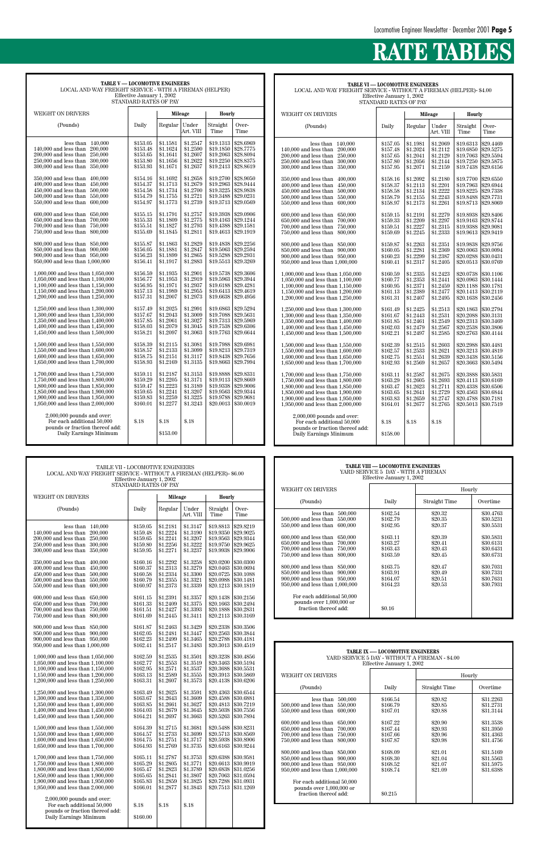| <b>TABLE V- LOCOMOTIVE ENGINEERS</b><br>LOCAL AND WAY FREIGHT SERVICE - WITH A FIREMAN (HELPER)                                                                                                                                                                                                                                                                                                                                                                                                                                                                                                                                                                                                                                                                                                                                                                                                                                                                                                                                                                                                                                                                                                                                                                                                                                                                                                                             | Effective January 1, 2002<br>STANDARD RATES OF PAY                                                                                                                                                                                                                                                                                                                                                                                                                   |                                                                                                                                                                                                                                                                                                                                                                                                                                                                      |                                                                                                                                                                                                                                                                                                                                                                                                                                                                      |                                                                                                                                                                                                                                                                                                                                                                                                                                                                                                            |                                                                                                                                                                                                                                                                                                                                                                                                                                                                                                            |
|-----------------------------------------------------------------------------------------------------------------------------------------------------------------------------------------------------------------------------------------------------------------------------------------------------------------------------------------------------------------------------------------------------------------------------------------------------------------------------------------------------------------------------------------------------------------------------------------------------------------------------------------------------------------------------------------------------------------------------------------------------------------------------------------------------------------------------------------------------------------------------------------------------------------------------------------------------------------------------------------------------------------------------------------------------------------------------------------------------------------------------------------------------------------------------------------------------------------------------------------------------------------------------------------------------------------------------------------------------------------------------------------------------------------------------|----------------------------------------------------------------------------------------------------------------------------------------------------------------------------------------------------------------------------------------------------------------------------------------------------------------------------------------------------------------------------------------------------------------------------------------------------------------------|----------------------------------------------------------------------------------------------------------------------------------------------------------------------------------------------------------------------------------------------------------------------------------------------------------------------------------------------------------------------------------------------------------------------------------------------------------------------|----------------------------------------------------------------------------------------------------------------------------------------------------------------------------------------------------------------------------------------------------------------------------------------------------------------------------------------------------------------------------------------------------------------------------------------------------------------------|------------------------------------------------------------------------------------------------------------------------------------------------------------------------------------------------------------------------------------------------------------------------------------------------------------------------------------------------------------------------------------------------------------------------------------------------------------------------------------------------------------|------------------------------------------------------------------------------------------------------------------------------------------------------------------------------------------------------------------------------------------------------------------------------------------------------------------------------------------------------------------------------------------------------------------------------------------------------------------------------------------------------------|
| <b>WEIGHT ON DRIVERS</b>                                                                                                                                                                                                                                                                                                                                                                                                                                                                                                                                                                                                                                                                                                                                                                                                                                                                                                                                                                                                                                                                                                                                                                                                                                                                                                                                                                                                    |                                                                                                                                                                                                                                                                                                                                                                                                                                                                      | <b>Mileage</b>                                                                                                                                                                                                                                                                                                                                                                                                                                                       |                                                                                                                                                                                                                                                                                                                                                                                                                                                                      | <b>Hourly</b>                                                                                                                                                                                                                                                                                                                                                                                                                                                                                              |                                                                                                                                                                                                                                                                                                                                                                                                                                                                                                            |
| (Pounds)                                                                                                                                                                                                                                                                                                                                                                                                                                                                                                                                                                                                                                                                                                                                                                                                                                                                                                                                                                                                                                                                                                                                                                                                                                                                                                                                                                                                                    | Daily                                                                                                                                                                                                                                                                                                                                                                                                                                                                | Regular                                                                                                                                                                                                                                                                                                                                                                                                                                                              | Under<br>Art. VIII                                                                                                                                                                                                                                                                                                                                                                                                                                                   | Straight<br>Time                                                                                                                                                                                                                                                                                                                                                                                                                                                                                           | Over-<br>Time                                                                                                                                                                                                                                                                                                                                                                                                                                                                                              |
| less than<br>140,000<br>140,000 and less than<br>200,000<br>200,000 and less than<br>250,000<br>250,000 and less than<br>300,000<br>300,000 and less than<br>350,000<br>350,000 and less than<br>400,000<br>400,000 and less than<br>450,000<br>450,000 and less than<br>500,000<br>500,000 and less than<br>550,000<br>550,000 and less than<br>600,000<br>600,000 and less than<br>650,000<br>650,000 and less than<br>700,000<br>700,000 and less than<br>750,000<br>750,000 and less than<br>800,000<br>800,000 and less than<br>850,000<br>850,000 and less than<br>900,000<br>900,000 and less than<br>950,000<br>950,000 and less than 1,000,000<br>1,000,000 and less than 1,050,000<br>1,050,000 and less than 1,100,000<br>1,100,000 and less than 1,150,000<br>1,150,000 and less than 1,200,000<br>1,200,000 and less than 1,250,000<br>1,250,000 and less than 1,300,000<br>1,300,000 and less than 1,350,000<br>1,350,000 and less than 1,400,000<br>1,400,000 and less than 1,450,000<br>1,450,000 and less than 1,500,000<br>1,500,000 and less than 1,550,000<br>1,550,000 and less than 1,600,000<br>1,600,000 and less than 1,650,000<br>1,650,000 and less than 1,700,000<br>1,700,000 and less than 1,750,000<br>1,750,000 and less than 1,800,000<br>1,800,000 and less than 1,850,000<br>1,850,000 and less than 1,900,000<br>1,900,000 and less than 1,950,000<br>1,950,000 and less than 2,000,000 | \$153.05<br>\$153.48<br>\$153.65<br>\$153.80<br>\$153.93<br>\$154.16<br>\$154.37<br>\$154.58<br>\$154.79<br>\$154.97<br>\$155.15<br>\$155.33<br>\$155.51<br>\$155.69<br>\$155.87<br>\$156.05<br>\$156.23<br>\$156.41<br>\$156.59<br>\$156.77<br>\$156.95<br>\$157.13<br>\$157.31<br>\$157.49<br>\$157.67<br>\$157.85<br>\$158.03<br>\$158.21<br>\$158.39<br>\$158.57<br>\$158.75<br>\$158.93<br>\$159.11<br>\$159.29<br>\$159.47<br>\$159.65<br>\$159.83<br>\$160.01 | \$1.1581<br>\$1.1624<br>\$1.1641<br>\$1.1656<br>\$1.1671<br>\$1.1692<br>\$1.1713<br>\$1.1734<br>\$1.1755<br>\$1.1773<br>\$1.1791<br>\$1.1809<br>\$1.1827<br>\$1.1845<br>\$1.1863<br>\$1.1881<br>\$1.1899<br>\$1.1917<br>\$1.1935<br>\$1.1953<br>\$1.1971<br>\$1.1989<br>\$1.2007<br>\$1.2025<br>\$1.2043<br>\$1.2061<br>\$1.2079<br>\$1.2097<br>\$1.2115<br>\$1.2133<br>\$1.2151<br>\$1.2169<br>\$1.2187<br>\$1.2205<br>\$1.2223<br>\$1.2241<br>\$1.2259<br>\$1.2277 | \$1.2547<br>\$1.2590<br>\$1.2607<br>\$1.2622<br>\$1.2637<br>\$1.2658<br>\$1.2679<br>\$1.2700<br>\$1.2721<br>\$1.2739<br>\$1.2757<br>\$1.2775<br>\$1.2793<br>\$1.2811<br>\$1.2829<br>\$1.2847<br>\$1.2865<br>\$1.2883<br>\$1.2901<br>\$1.2919<br>\$1.2937<br>\$1.2955<br>\$1.2973<br>\$1.2991<br>\$1.3009<br>\$1.3027<br>\$1.3045<br>\$1.3063<br>\$1.3081<br>\$1.3099<br>\$1.3117<br>\$1.3135<br>\$1.3153<br>\$1.3171<br>\$1.3189<br>\$1.3207<br>\$1.3225<br>\$1.3243 | \$19.1313<br>\$19.1850<br>\$19.2063<br>\$19.2250<br>\$19.2413<br>\$19.2700<br>\$19.2963<br>\$19.3225<br>\$19.3488<br>\$19.3713<br>\$19.3938<br>\$19.4163<br>\$19.4388<br>\$19.4613<br>\$19.4838<br>\$19.5063<br>\$19.5288<br>\$19.5513<br>\$19.5738<br>\$19.5963<br>\$19.6188<br>\$19.6413<br>\$19.6638<br>\$19.6863<br>\$19.7088<br>\$19.7313<br>\$19.7538<br>\$19.7763<br>\$19.7988<br>\$19.8213<br>\$19.8438<br>\$19.8663<br>\$19.8888<br>\$19.9113<br>\$19.9338<br>\$19.9563<br>\$19.9788<br>\$20.0013 | \$28.6969<br>\$28.7775<br>\$28.8094<br>\$28.8375<br>\$28.8619<br>\$28.9050<br>\$28.9444<br>\$28.9838<br>\$29.0231<br>\$29.0569<br>\$29.0906<br>\$29.1244<br>\$29.1581<br>\$29.1919<br>\$29.2256<br>\$29.2594<br>\$29.2931<br>\$29.3269<br>\$29.3606<br>\$29.3944<br>\$29.4281<br>\$29.4619<br>\$29.4956<br>\$29.5294<br>\$29.5631<br>\$29.5969<br>\$29.6306<br>\$29.6644<br>\$29.6981<br>\$29.7319<br>\$29.7656<br>\$29.7994<br>\$29.8331<br>\$29.8669<br>\$29.9006<br>\$29.9344<br>\$29.9681<br>\$30.0019 |
| $2,000,000$ pounds and over:<br>For each additional 50,000<br>pounds or fraction thereof add:<br>Daily Earnings Minimum                                                                                                                                                                                                                                                                                                                                                                                                                                                                                                                                                                                                                                                                                                                                                                                                                                                                                                                                                                                                                                                                                                                                                                                                                                                                                                     | \$.18                                                                                                                                                                                                                                                                                                                                                                                                                                                                | \$.18<br>\$153.00                                                                                                                                                                                                                                                                                                                                                                                                                                                    | \$.18                                                                                                                                                                                                                                                                                                                                                                                                                                                                |                                                                                                                                                                                                                                                                                                                                                                                                                                                                                                            |                                                                                                                                                                                                                                                                                                                                                                                                                                                                                                            |

# **RATE TABLES**

| <b>TABLE VI — LOCOMOTIVE ENGINEERS</b>                             |
|--------------------------------------------------------------------|
| LOCAL AND WAY FREIGHT SERVICE - WITHOUT A FIREMAN (HELPER)- \$4.00 |
| Effective January 1, 2002                                          |
| STANDARD RATES OF PAY                                              |

| WEIGHT ON DRIVERS                                                                                                                                                                                                          |                                                                      |                                                                      | <b>Mileage</b>                                                       | <b>Hourly</b>                                                              |                                                                            |
|----------------------------------------------------------------------------------------------------------------------------------------------------------------------------------------------------------------------------|----------------------------------------------------------------------|----------------------------------------------------------------------|----------------------------------------------------------------------|----------------------------------------------------------------------------|----------------------------------------------------------------------------|
| (Pounds)                                                                                                                                                                                                                   | Daily                                                                | Regular                                                              | Under<br>Art. VIII                                                   | Straight<br>Time                                                           | Over-<br>Time                                                              |
| 140,000<br>less than<br>140,000 and less than<br>200,000<br>200,000 and less than<br>250,000<br>250,000 and less than<br>300,000<br>300,000 and less than<br>350,000                                                       | \$157.05<br>\$157.48<br>\$157.65<br>\$157.80<br>\$157.95             | \$1.1981<br>\$1.2024<br>\$1.2041<br>\$1.2056<br>\$1.2071             | \$1.2069<br>\$1.2112<br>\$1.2129<br>\$1.2144<br>\$1.2159             | \$19.6313<br>\$19.6850<br>\$19.7063<br>\$19.7250<br>\$19.7438              | \$29.4469<br>\$29.5275<br>\$29.5594<br>\$29.5875<br>\$29.6156              |
| 350,000 and less than<br>400,000<br>400,000 and less than<br>450,000<br>450,000 and less than<br>500,000<br>500,000 and less than<br>550,000<br>550,000 and less than<br>600,000                                           | \$158.16<br>\$158.37<br>\$158.58<br>\$158.79<br>\$158.97             | \$1.2092<br>\$1.2113<br>\$1.2134<br>\$1.2155<br>\$1.2173             | \$1.2180<br>\$1.2201<br>\$1.2222<br>\$1.2243<br>\$1.2261             | \$19.7700<br>\$19.7963<br>\$19.8225<br>\$19.8488<br>\$19.8713              | \$29.6550<br>\$29.6944<br>\$29.7338<br>\$29.7731<br>\$29.8069              |
| 600,000 and less than<br>650,000<br>650,000 and less than<br>700,000<br>700,000 and less than<br>750,000<br>750,000 and less than<br>800,000                                                                               | \$159.15<br>\$159.33<br>\$159.51<br>\$159.69                         | \$1.2191<br>\$1.2209<br>\$1.2227<br>\$1.2245                         | \$1.2279<br>\$1.2297<br>\$1.2315<br>\$1.2333                         | \$19.8938<br>\$19.9163<br>\$19.9388<br>\$19.9613                           | \$29.8406<br>\$29.8744<br>\$29.9081<br>\$29.9419                           |
| 800,000 and less than<br>850,000<br>850,000 and less than<br>900,000<br>900,000 and less than 950,000<br>950,000 and less than 1,000,000                                                                                   | \$159.87<br>\$160.05<br>\$160.23<br>\$160.41                         | \$1.2263<br>\$1.2281<br>\$1.2299<br>\$1.2317                         | \$1.2351<br>\$1.2369<br>\$1.2387<br>\$1.2405                         | \$19.9838<br>\$20,0063<br>\$20.0288<br>\$20.0513                           | \$29.9756<br>\$30.0094<br>\$30.0431<br>\$30.0769                           |
| $1,\!000,\!000$ and less than $1,\!050,\!000$<br>1,050,000 and less than 1,100,000<br>1.100,000 and less than 1.150,000<br>1,150,000 and less than 1,200,000<br>1,200,000 and less than 1,250,000                          | \$160.59<br>\$160.77<br>\$160.95<br>\$161.13<br>\$161.31             | \$1.2335<br>\$1.2353<br>\$1.2371<br>\$1.2389<br>\$1.2407             | \$1.2423<br>\$1.2441<br>\$1.2459<br>\$1.2477<br>\$1.2495             | \$20.0738<br>\$20.0963<br>\$20.1188<br>\$20.1413<br>\$20.1638              | \$30.1106<br>\$30.1444<br>\$30.1781<br>\$30.2119<br>\$30.2456              |
| 1,250,000 and less than 1,300,000<br>1,300,000 and less than 1,350,000<br>1.350,000 and less than 1.400,000<br>1,400,000 and less than 1,450,000<br>1,450,000 and less than 1,500,000                                      | \$161.49<br>\$161.67<br>\$161.85<br>\$162.03<br>\$162.21             | \$1.2425<br>\$1.2443<br>\$1.2461<br>\$1.2479<br>\$1.2497             | \$1.2513<br>\$1.2531<br>\$1.2549<br>\$1.2567<br>\$1.2585             | \$20.1863<br>\$20.2088<br>\$20.2313<br>\$20.2538<br>\$20.2763              | \$30.2794<br>\$30.3131<br>\$30.3469<br>\$30.3806<br>\$30.4144              |
| 1,500,000 and less than 1,550,000<br>1.550,000 and less than 1.600,000<br>1,600,000 and less than 1,650,000<br>1,650,000 and less than 1,700,000                                                                           | \$162.39<br>\$162.57<br>\$162.75<br>\$162.93                         | \$1.2515<br>\$1.2533<br>\$1.2551<br>\$1.2569                         | \$1.2603<br>\$1.2621<br>\$1.2639<br>\$1.2657                         | \$20.2988<br>\$20.3213<br>\$20,3438<br>\$20.3663                           | \$30.4481<br>\$30.4819<br>\$30,5156<br>\$30.5494                           |
| 1,700,000 and less than 1,750,000<br>1,750,000 and less than 1,800,000<br>1,800,000 and less than 1,850,000<br>1,850,000 and less than 1,900,000<br>1,900,000 and less than 1,950,000<br>1,950,000 and less than 2,000,000 | \$163.11<br>\$163.29<br>\$163.47<br>\$163.65<br>\$163.83<br>\$164.01 | \$1.2587<br>\$1.2605<br>\$1.2623<br>\$1.2641<br>\$1.2659<br>\$1.2677 | \$1.2675<br>\$1.2693<br>\$1.2711<br>\$1.2729<br>\$1.2747<br>\$1.2765 | \$20,3888<br>\$20.4113<br>\$20.4338<br>\$20.4563<br>\$20.4788<br>\$20.5013 | \$30.5831<br>\$30.6169<br>\$30.6506<br>\$30.6844<br>\$30.7181<br>\$30.7519 |
| $2,000,000$ pounds and over:<br>For each additional 50,000<br>pounds or fraction thereof add:<br>Daily Earnings Minimum                                                                                                    | \$.18<br>\$158.00                                                    | \$.18                                                                | \$.18                                                                |                                                                            |                                                                            |

| TABLE VII - LOCOMOTIVE ENGINEERS<br>LOCAL AND WAY FREIGHT SERVICE - WITHOUT A FIREMAN (HELPER)- \$6.00<br>Effective January 1, 2002<br>STANDARD RATES OF PAY                                                          |                                                          |                                                           |                                                          |                                                                           |                                                                              | <b>TABLE VIII — LOCOMOTIVE ENGINEERS</b><br>YARD SERVICE 5 DAY - WITH A FIREMAN<br>Effective January 1, 2002<br>Hourly                                           |                                                                                                                         |                                          |                                                  |  |  |
|-----------------------------------------------------------------------------------------------------------------------------------------------------------------------------------------------------------------------|----------------------------------------------------------|-----------------------------------------------------------|----------------------------------------------------------|---------------------------------------------------------------------------|------------------------------------------------------------------------------|------------------------------------------------------------------------------------------------------------------------------------------------------------------|-------------------------------------------------------------------------------------------------------------------------|------------------------------------------|--------------------------------------------------|--|--|
| WEIGHT ON DRIVERS                                                                                                                                                                                                     |                                                          | Mileage                                                   |                                                          | Hourly                                                                    |                                                                              | WEIGHT ON DRIVERS                                                                                                                                                |                                                                                                                         |                                          |                                                  |  |  |
| (Pounds)                                                                                                                                                                                                              | Daily                                                    | Regular                                                   | Under                                                    | Straight                                                                  | Over-                                                                        | (Pounds)<br>less than $500,000$                                                                                                                                  | Daily<br>\$162.54                                                                                                       | <b>Straight Time</b><br>\$20.32          | Overtime<br>\$30.4763                            |  |  |
|                                                                                                                                                                                                                       |                                                          |                                                           | Art. VIII                                                | Time                                                                      | Time                                                                         | 500,000 and less than 550,000<br>550,000 and less than 600,000                                                                                                   | \$162.79<br>\$162.95                                                                                                    | \$20.35<br>\$20.37                       | \$30.5231<br>\$30.5531                           |  |  |
| less than $140,000$<br>140,000 and less than<br>200,000<br>200,000 and less than<br>250,000<br>250,000 and less than 300,000<br>300,000 and less than 350,000                                                         | \$159.05<br>\$159.48<br>\$159.65<br>\$159.80<br>\$159.95 | \$1.2181<br>\$1.2224<br>\$1.2241<br>\$1.2256<br>\$1.2271  | \$1.3147<br>\$1.3190<br>\$1.3207<br>\$1.3222<br>\$1.3237 | \$19.8813<br>\$19.9350<br>\$19.9563<br>\$19.9750<br>\$19.9938             | \$29.8219<br>\$29.9025<br>\$29.9344<br>\$29.9625<br>\$29.9906                | 600,000 and less than 650,000<br>650,000 and less than 700,000<br>700,000 and less than 750,000<br>750,000 and less than 800,000                                 | \$163.11<br>\$163.27<br>\$163.43<br>\$163.59                                                                            | \$20.39<br>\$20.41<br>\$20.43<br>\$20.45 | \$30.5831<br>\$30.6131<br>\$30.6431<br>\$30.6731 |  |  |
| 350,000 and less than 400,000<br>450,000<br>$400,000$ and less than<br>$450,000$ and less than<br>500,000<br>500,000 and less than 550,000<br>550,000 and less than 600,000                                           | \$160.16<br>\$160.37<br>\$160.58<br>\$160.79<br>\$160.97 | \$1,2292<br>\$1.2313<br>\$1.2334<br>\$1.2355<br>\$1.2373  | \$1.3258<br>\$1.3279<br>\$1.3300<br>\$1.3321<br>\$1.3339 | \$20.0200<br>\$20.0463<br>\$20.0725<br>\$20.0988<br>$$20.1213$ \\$30.1819 | \$30.0300<br>\$30.0694<br>\$30.1088<br>\$30.1481                             | 800,000 and less than 850,000<br>850,000 and less than 900,000<br>900,000 and less than 950,000<br>950,000 and less than 1,000,000<br>For each additional 50,000 | \$163.75<br>\$163.91<br>\$164.07<br>\$164.23                                                                            | \$20.47<br>\$20.49<br>\$20.51<br>\$20.53 | \$30.7031<br>\$30.7331<br>\$30.7631<br>\$30.7931 |  |  |
| 600,000 and less than 650,000<br>700,000<br>650,000 and less than<br>700,000 and less than<br>750,000<br>750,000 and less than 800,000                                                                                | \$161.15<br>\$161.33<br>\$161.51<br>\$161.69             | \$1.2391<br>\$1.2409<br>\$1.2427<br>\$1.2445              | \$1.3357<br>\$1.3375<br>\$1.3393<br>\$1.3411             | \$20.1663<br>\$20.1888<br>\$20.2113 \$30.3169                             | $$20.1438$ \\$30.2156<br>\$30.2494<br>\$30.2831                              | pounds over 1,000,000 or<br>fraction thereof add:                                                                                                                | \$0.16                                                                                                                  |                                          |                                                  |  |  |
| 800,000 and less than 850,000<br>850,000 and less than 900,000<br>900,000 and less than 950,000<br>950,000 and less than 1,000,000                                                                                    | \$161.87<br>\$162.05<br>\$162.23<br>\$162.41             | \$1.2463<br>\$1.2481<br>\$1.2499<br>\$1.2517              | \$1.3429<br>\$1.3447<br>\$1.3465<br>\$1.3483             | \$20.2338<br>\$20.2563<br>\$20.2788<br>\$20.3013 \$30.4519                | \$30.3506<br>\$30.3844<br>\$30.4181                                          |                                                                                                                                                                  |                                                                                                                         |                                          |                                                  |  |  |
| 1,000,000 and less than 1,050,000<br>1,050,000 and less than 1,100,000<br>$1,100,000$ and less than $1,150,000$                                                                                                       | \$162.59<br>\$162.77<br>\$162.95                         | \$1.2535<br>\$1.2553<br>\$1.2571                          | \$1.3501<br>\$1.3519<br>\$1.3537                         | \$20.3238<br>\$20.3463<br>\$20.3688                                       | \$30.4856<br>\$30.5194<br>\$30.5531                                          |                                                                                                                                                                  | <b>TABLE IX -- LOCOMOTIVE ENGINEERS</b><br>YARD SERVICE 5 DAY - WITHOUT A FIREMAN - \$4.00<br>Effective January 1, 2002 |                                          |                                                  |  |  |
| 1,150,000 and less than 1,200,000<br>1,200,000 and less than 1,250,000                                                                                                                                                | \$163.13<br>\$163.31                                     | \$1.2589<br>\$1.2607                                      | \$1.3555<br>\$1.3573                                     | \$20.3913<br>\$20.4138                                                    | \$30.5869<br>\$30.6206                                                       | <b>WEIGHT ON DRIVERS</b>                                                                                                                                         |                                                                                                                         | Hourly                                   |                                                  |  |  |
| 1,250,000 and less than 1,300,000                                                                                                                                                                                     | \$163.49                                                 | \$1.2625                                                  | \$1.3591                                                 | $$20.4363$ \\$30.6544                                                     |                                                                              | (Pounds)                                                                                                                                                         | Daily                                                                                                                   | Straight Time                            | Overtime                                         |  |  |
| 1,300,000 and less than 1,350,000<br>1,350,000 and less than 1,400,000<br>$1,\!400,\!000$ and less than $1,\!450,\!000$<br>$1,450,000$ and less than $1,500,000$                                                      | \$163.67<br>\$163.85<br>\$164.03<br>\$164.21             | \$1.2643<br>\$1.2661<br>\$1.2679<br>\$1.2697              | \$1.3609<br>\$1.3627<br>\$1.3645<br>\$1.3663             | \$20.4588<br>\$20.4813<br>\$20.5038<br>\$20.5263                          | \$30.6881<br>\$30.7219<br>\$30.7556<br>\$30.7894                             | less than $500,000$<br>500,000 and less than 550,000<br>550,000 and less than 600,000                                                                            | \$166.54<br>\$166.79<br>\$167.01                                                                                        | \$20.82<br>\$20.85<br>\$20.88            | \$31.2263<br>\$31.2731<br>\$31.3144              |  |  |
| 1,500,000 and less than 1,550,000<br>1,550,000 and less than 1,600,000<br>1,600,000 and less than 1,650,000<br>$1,\!650,\!000$ and less than $1,\!700,\!000$                                                          | \$164.39<br>\$164.57<br>\$164.75<br>\$164.93             | \$1.2715<br>\$1,2733<br>\$1.2751<br>\$1.2769              | \$1.3681<br>\$1.3699<br>\$1.3717<br>\$1.3735             | \$20.5488<br>\$20.5713<br>\$20.5938<br>\$20.6163                          | \$30.8231<br>\$30.8569<br>\$30.8906<br>\$30.9244                             | 600,000 and less than 650,000<br>650,000 and less than 700,000<br>700,000 and less than 750,000<br>750,000 and less than 800,000                                 | \$167.22<br>\$167.44<br>\$167.66<br>\$167.87                                                                            | \$20.90<br>\$20.93<br>\$20.96<br>\$20.98 | \$31.3538<br>\$31.3950<br>\$31.4363<br>\$31.4756 |  |  |
| 1,700,000 and less than 1,750,000                                                                                                                                                                                     | \$165.11                                                 | \$1.2787                                                  | \$1.3753                                                 | \$20.6388 \$30.9581                                                       | $$20.6613$ \$30.9919                                                         | 800,000 and less than 850,000<br>850,000 and less than 900,000<br>900,000 and less than 950,000                                                                  | \$168.09<br>\$168.30<br>\$168.52                                                                                        | \$21.01<br>\$21.04<br>\$21.07            | \$31.5169<br>\$31.5563                           |  |  |
| 1,750,000 and less than 1,800,000<br>1,800,000 and less than 1,850,000<br>1,850,000 and less than 1,900,000<br>1,900,000 and less than 1,950,000<br>1,950,000 and less than 2,000,000<br>$2,000,000$ pounds and over: | \$165.29<br>\$165.47<br>\$165.65<br>\$165.83<br>\$166.01 | \$1.2805<br> \$1.2823<br>\$1.2841<br>\$1.2859<br>\$1.2877 | \$1.3771<br>\$1.3789<br>\$1.3807<br>\$1.3825<br>\$1.3843 | \$20.7288 \$31.0931                                                       | $$20.6838 \;   \; $31.0256$<br>\$20.7063   \$31.0594<br>\$20.7513 \\$31.1269 | 950,000 and less than 1,000,000<br>For each additional 50,000<br>pounds over 1,000,000 or<br>fraction thereof add:                                               | \$168.74<br>\$0.215                                                                                                     | \$21.09                                  | \$31.5975<br>\$31.6388                           |  |  |

| LOCAL AND WAY FREIGHT SERVICE - WITHOUT A FIREMAN (HELPER)- \$6.00<br>Effective January 1, 2002<br>STANDARD RATES OF PAY                                                                                                                                                                                                                                                                                                        |                                                                                                                                                          |                                                                                                                                                          |                                                                                                                                                          |                                                                                                                                                                       |                                                                                                                                                                       |                                                                                                                                                                                                                                                                                                                                                                                                                             | YARD SERVICE 3 DAY - WITH A FIREMAN<br>Effective January 1, 2002                                                               |                                                                                                            |                                                                                                                                |
|---------------------------------------------------------------------------------------------------------------------------------------------------------------------------------------------------------------------------------------------------------------------------------------------------------------------------------------------------------------------------------------------------------------------------------|----------------------------------------------------------------------------------------------------------------------------------------------------------|----------------------------------------------------------------------------------------------------------------------------------------------------------|----------------------------------------------------------------------------------------------------------------------------------------------------------|-----------------------------------------------------------------------------------------------------------------------------------------------------------------------|-----------------------------------------------------------------------------------------------------------------------------------------------------------------------|-----------------------------------------------------------------------------------------------------------------------------------------------------------------------------------------------------------------------------------------------------------------------------------------------------------------------------------------------------------------------------------------------------------------------------|--------------------------------------------------------------------------------------------------------------------------------|------------------------------------------------------------------------------------------------------------|--------------------------------------------------------------------------------------------------------------------------------|
|                                                                                                                                                                                                                                                                                                                                                                                                                                 |                                                                                                                                                          |                                                                                                                                                          |                                                                                                                                                          |                                                                                                                                                                       |                                                                                                                                                                       | WEIGHT ON DRIVERS                                                                                                                                                                                                                                                                                                                                                                                                           |                                                                                                                                |                                                                                                            | Hourly                                                                                                                         |
| <b>WEIGHT ON DRIVERS</b>                                                                                                                                                                                                                                                                                                                                                                                                        |                                                                                                                                                          | <b>Mileage</b>                                                                                                                                           |                                                                                                                                                          | Hourly                                                                                                                                                                |                                                                                                                                                                       | (Pounds)                                                                                                                                                                                                                                                                                                                                                                                                                    | Daily                                                                                                                          | Straight Time                                                                                              | Overtime                                                                                                                       |
| (Pounds)                                                                                                                                                                                                                                                                                                                                                                                                                        | Daily                                                                                                                                                    | Regular                                                                                                                                                  | Under<br>Art. VIII                                                                                                                                       | Straight<br>Time                                                                                                                                                      | Over-<br>Time                                                                                                                                                         | less than 500,000                                                                                                                                                                                                                                                                                                                                                                                                           | \$162.54                                                                                                                       | \$20.32                                                                                                    | \$30.4763                                                                                                                      |
| less than $140,000$<br>140,000 and less than 200,000<br>200,000 and less than 250,000<br>250,000 and less than 300,000<br>300,000 and less than 350,000<br>350,000 and less than 400,000<br>400,000 and less than 450,000<br>450,000 and less than 500,000<br>500,000 and less than 550,000<br>550,000 and less than 600,000<br>600,000 and less than 650,000<br>650,000 and less than 700,000<br>700,000 and less than 750,000 | \$159.05<br>\$159.48<br>\$159.65<br>\$159.80<br>\$159.95<br>\$160.16<br>\$160.37<br>\$160.58<br>\$160.79<br>\$160.97<br>\$161.15<br>\$161.33<br>\$161.51 | \$1.2181<br>\$1.2224<br>\$1,2241<br>\$1.2256<br>\$1.2271<br>\$1,2292<br>\$1.2313<br>\$1.2334<br>\$1.2355<br>\$1.2373<br>\$1.2391<br>\$1,2409<br>\$1.2427 | \$1.3147<br>\$1.3190<br>\$1.3207<br>\$1.3222<br>\$1.3237<br>\$1.3258<br>\$1.3279<br>\$1.3300<br>\$1.3321<br>\$1.3339<br>\$1.3357<br>\$1.3375<br>\$1.3393 | \$19.8813<br>\$19.9350<br>\$19.9563<br>\$19.9750<br>\$19.9938<br>\$20.0200<br>\$20.0463<br>\$20.0725<br>\$20.0988<br>\$20.1213<br>\$20.1438<br>\$20.1663<br>\$20.1888 | \$29.8219<br>\$29.9025<br>\$29.9344<br>\$29.9625<br>\$29.9906<br>\$30.0300<br>\$30.0694<br>\$30.1088<br>\$30.1481<br>\$30.1819<br>\$30.2156<br>\$30.2494<br>\$30.2831 | 500,000 and less than 550,000<br>550,000 and less than 600,000<br>600,000 and less than 650,000<br>650,000 and less than 700,000<br>700,000 and less than 750,000<br>750,000 and less than 800,000<br>800,000 and less than 850,000<br>850,000 and less than 900,000<br>900,000 and less than 950,000<br>950,000 and less than 1,000,000<br>For each additional 50,000<br>pounds over 1,000,000 or<br>fraction thereof add: | \$162.79<br>\$162.95<br>\$163.11<br>\$163.27<br>\$163.43<br>\$163.59<br>\$163.75<br>\$163.91<br>\$164.07<br>\$164.23<br>\$0.16 | \$20.35<br>\$20.37<br>\$20.39<br>\$20.41<br>\$20.43<br>\$20.45<br>\$20.47<br>\$20.49<br>\$20.51<br>\$20.53 | \$30.5231<br>\$30.5531<br>\$30.5831<br>\$30.6131<br>\$30.6431<br>\$30.6731<br>\$30.7031<br>\$30.7331<br>\$30.7631<br>\$30.7931 |
| 750,000 and less than 800,000<br>800,000 and less than 850,000<br>850,000 and less than 900,000<br>900,000 and less than 950,000<br>950,000 and less than 1,000,000<br>1,000,000 and less than 1,050,000<br>1,050,000 and less than 1,100,000<br>1,100,000 and less than 1,150,000                                                                                                                                              | \$161.69<br>\$161.87<br>\$162.05<br>\$162.23<br>\$162.41<br>\$162.59<br>\$162.77<br>\$162.95                                                             | \$1.2445<br>\$1.2463<br>\$1,2481<br>\$1.2499<br>\$1.2517<br>\$1.2535<br>\$1.2553<br>\$1.2571                                                             | \$1.3411<br>\$1.3429<br>\$1.3447<br>\$1.3465<br>\$1.3483<br>\$1.3501<br>\$1.3519<br>\$1.3537                                                             | $$20.2113$ \\$30.3169<br>\$20.2338<br>\$20.2563<br>\$20.2788<br>\$20.3013<br>\$20.3238<br>\$20.3463<br>\$20.3688                                                      | \$30.3506<br>\$30.3844<br>\$30.4181<br>\$30.4519<br>\$30.4856<br>\$30.5194<br>\$30.5531                                                                               |                                                                                                                                                                                                                                                                                                                                                                                                                             | <b>TABLE IX -- LOCOMOTIVE ENGINEERS</b><br>YARD SERVICE 5 DAY - WITHOUT A FIREMAN - \$4.00<br>Effective January 1, 2002        |                                                                                                            |                                                                                                                                |
| 1,150,000 and less than 1,200,000<br>1,200,000 and less than 1,250,000                                                                                                                                                                                                                                                                                                                                                          | \$163.13<br>\$163.31                                                                                                                                     | \$1.2589<br>\$1.2607                                                                                                                                     | \$1.3555<br>\$1.3573                                                                                                                                     | \$20.3913<br>\$20.4138                                                                                                                                                | \$30.5869<br>\$30.6206                                                                                                                                                | WEIGHT ON DRIVERS                                                                                                                                                                                                                                                                                                                                                                                                           |                                                                                                                                |                                                                                                            | Hourly                                                                                                                         |
| 1,250,000 and less than 1,300,000<br>1,300,000 and less than 1,350,000<br>1,350,000 and less than 1,400,000<br>1,400,000 and less than 1,450,000<br>1,450,000 and less than 1,500,000<br>1,500,000 and less than 1,550,000<br>1,550,000 and less than 1,600,000<br>1,600,000 and less than 1,650,000                                                                                                                            | \$163.49<br>\$163.67<br>\$163.85<br>\$164.03<br>\$164.21<br>\$164.39<br>\$164.57<br>\$164.75                                                             | \$1.2625<br>\$1.2643<br>\$1.2661<br>\$1.2679<br>\$1.2697<br>\$1.2715<br>\$1.2733<br>\$1.2751                                                             | \$1.3591<br>\$1.3609<br>\$1.3627<br>\$1.3645<br>\$1.3663<br>\$1.3681<br>\$1.3699<br>\$1.3717                                                             | \$20.4363<br>\$20.4588<br>\$20.4813<br>\$20.5038<br>\$20.5263<br>\$20.5488<br>\$20.5713<br>\$20.5938                                                                  | \$30.6544<br>\$30.6881<br>\$30.7219<br>\$30.7556<br>\$30.7894<br>\$30.8231<br>\$30.8569<br>\$30.8906                                                                  | (Pounds)<br>less than $500,000$<br>500,000 and less than 550,000<br>550,000 and less than 600,000<br>600,000 and less than 650,000<br>650,000 and less than 700,000<br>700,000 and less than 750,000<br>750,000 and less than 800,000                                                                                                                                                                                       | Daily<br>\$166.54<br>\$166.79<br>\$167.01<br>\$167.22<br>\$167.44<br>\$167.66<br>\$167.87                                      | Straight Time<br>\$20.82<br>\$20.85<br>\$20.88<br>\$20.90<br>\$20.93<br>\$20.96<br>\$20.98                 | Overtime<br>\$31.2263<br>\$31.2731<br>\$31.3144<br>\$31.3538<br>\$31.3950<br>\$31.4363<br>\$31.4756                            |
| 1,650,000 and less than 1,700,000<br>1,700,000 and less than 1,750,000<br>1,750,000 and less than 1,800,000<br>1,800,000 and less than 1,850,000<br>1,850,000 and less than 1,900,000<br>1,900,000 and less than 1,950,000<br>1,950,000 and less than 2,000,000<br>$2,\!000,\!000$ pounds and over:<br>For each additional 50,000                                                                                               | \$164.93<br>\$165.11<br>\$165.29<br>\$165.47<br>\$165.65<br>\$165.83<br>\$166.01<br>\$.18                                                                | \$1,2769<br>\$1.2787<br>\$1.2805<br>\$1.2823<br>\$1,2841<br>\$1.2859<br>\$1.2877<br>\$.18                                                                | \$1.3735<br>\$1.3753<br>\$1.3771<br>\$1.3789<br>\$1.3807<br>\$1.3825<br>\$1.3843<br>\$.18                                                                | \$20.6163<br>\$20.6388<br>\$20.6613<br>\$20.6838<br>\$20.7063<br>\$20.7288<br>\$20.7513                                                                               | \$30.9244<br>\$30.9581<br>\$30.9919<br>\$31.0256<br>\$31.0594<br>\$31.0931<br>\$31.1269                                                                               | 800,000 and less than 850,000<br>850,000 and less than 900,000<br>900,000 and less than 950,000<br>950,000 and less than 1,000,000<br>For each additional 50,000<br>pounds over 1,000,000 or<br>fraction thereof add:                                                                                                                                                                                                       | \$168.09<br>\$168.30<br>\$168.52<br>\$168.74<br>\$0.215                                                                        | \$21.01<br>\$21.04<br>\$21.07<br>\$21.09                                                                   | \$31.5169<br>\$31.5563<br>\$31.5975<br>\$31.6388                                                                               |
| pounds or fraction thereof add:<br>Daily Earnings Minimum                                                                                                                                                                                                                                                                                                                                                                       | \$160.00                                                                                                                                                 |                                                                                                                                                          |                                                                                                                                                          |                                                                                                                                                                       |                                                                                                                                                                       |                                                                                                                                                                                                                                                                                                                                                                                                                             |                                                                                                                                |                                                                                                            |                                                                                                                                |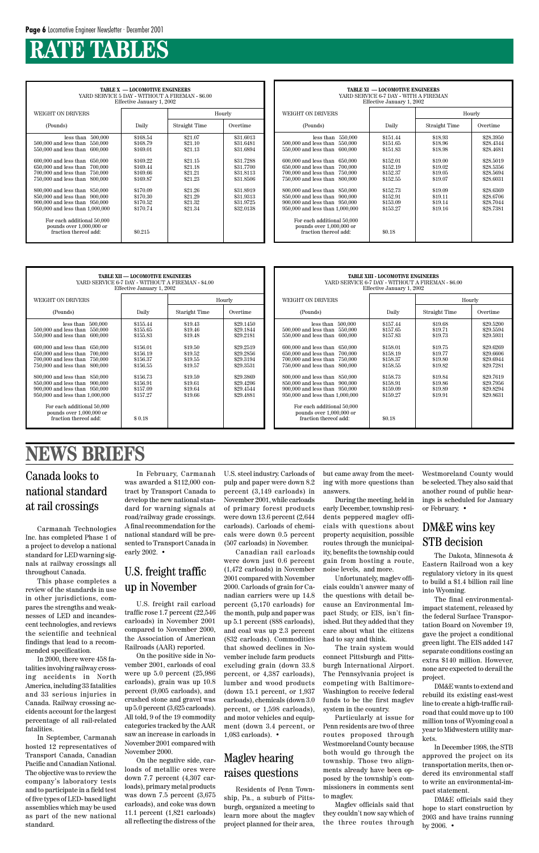**TABLE X — LOCOMOTIVE ENGINEERS** YARD SERVICE 5 DAY - WITHOUT A FIREMAN - \$6.00 Effective January 1, 2002 WEIGHT ON DRIVERS **Hourly** (Pounds) Daily Braight Time Overtime less than 500,000 \$168.54 \$21.07 \$31.6013<br>less than 550,000 \$168.79 \$21.10 \$31.6481  $500,000$  and less than  $550,000$ 550,000 and less than 600,000 | \$169.01 | \$21.13 | \$31.6894 600,000 and less than 650,000 \$169.22 \$21.15 \$31.7288<br>650,000 and less than 700,000 \$169.44 \$21.18 \$21.18 \$31.7700 650,000 and less than 700,000 \$169.44 \$21.18 \$31.7700 \$169.66 \$21.21 \$31.8113 700,000 and less than 750,000 \$169.66 \$21.21 \$31.8113<br>750,000 and less than 800,000 \$169.87 \$21.23 \$31.8506  $750,000$  and less than 800,000 and less than 850,000 \$170.09 \$21.26 \$31.8919<br>850,000 and less than 900,000 \$170.30 \$21.29 \$31.9313 850,000 and less than 900,000 \$170.30 \$21.29 \$31.9313<br>900,000 and less than 950,000 \$170.52 \$21.32 \$31.9725 900,000 and less than 950,000 \$170.52 \$21.32 \$31.9725<br>950,000 and less than 1,000,000 \$170.74 \$21.34 \$32.0138  $950,000$  and less than  $1,000,000$ For each additional 50,000 pounds over 1,000,000 or fraction thereof add:  $$0.215$ 

# **RATE TABLES**

| <b>TABLE XI — LOCOMOTIVE ENGINEERS</b><br>YARD SERVICE 6-7 DAY - WITH A FIREMAN<br>Effective January 1, 2002                                                                                                                                                                                                                                                                                                                                                             |                                                                                                                                            |                                                                                                                       |                                                                                                                                             |  |  |  |  |  |
|--------------------------------------------------------------------------------------------------------------------------------------------------------------------------------------------------------------------------------------------------------------------------------------------------------------------------------------------------------------------------------------------------------------------------------------------------------------------------|--------------------------------------------------------------------------------------------------------------------------------------------|-----------------------------------------------------------------------------------------------------------------------|---------------------------------------------------------------------------------------------------------------------------------------------|--|--|--|--|--|
| <b>WEIGHT ON DRIVERS</b>                                                                                                                                                                                                                                                                                                                                                                                                                                                 |                                                                                                                                            | Hourly                                                                                                                |                                                                                                                                             |  |  |  |  |  |
| (Pounds)                                                                                                                                                                                                                                                                                                                                                                                                                                                                 | Daily                                                                                                                                      | Straight Time                                                                                                         | Overtime                                                                                                                                    |  |  |  |  |  |
| 550,000<br>less than<br>550,000<br>500,000 and less than<br>550,000 and less than<br>600,000<br>600,000 and less than<br>650,000<br>650,000 and less than<br>700,000<br>700,000 and less than<br>750,000<br>750,000 and less than<br>800,000<br>800,000 and less than 850,000<br>850,000 and less than<br>900,000<br>900,000 and less than 950,000<br>950,000 and less than 1,000,000<br>For each additional 50,000<br>pounds over 1,000,000 or<br>fraction thereof add: | \$151.44<br>\$151.65<br>\$151.83<br>\$152.01<br>\$152.19<br>\$152.37<br>\$152.55<br>\$152.73<br>\$152.91<br>\$153.09<br>\$153.27<br>\$0.18 | \$18.93<br>\$18.96<br>\$18.98<br>\$19.00<br>\$19.02<br>\$19.05<br>\$19.07<br>\$19.09<br>\$19.11<br>\$19.14<br>\$19.16 | \$28,3950<br>\$28.4344<br>\$28.4681<br>\$28.5019<br>\$28,5356<br>\$28.5694<br>\$28.6031<br>\$28.6369<br>\$28.6706<br>\$28.7044<br>\$28.7381 |  |  |  |  |  |

| <b>TABLE XII — LOCOMOTIVE ENGINEERS</b><br>YARD SERVICE 6-7 DAY - WITHOUT A FIREMAN - \$4.00<br>Effective January 1, 2002                                                                                                                                                                                                                                                |                                                                                                                                  |                                                                                                                       |                                                                                                                                             |  |  |  |  |  |
|--------------------------------------------------------------------------------------------------------------------------------------------------------------------------------------------------------------------------------------------------------------------------------------------------------------------------------------------------------------------------|----------------------------------------------------------------------------------------------------------------------------------|-----------------------------------------------------------------------------------------------------------------------|---------------------------------------------------------------------------------------------------------------------------------------------|--|--|--|--|--|
| WEIGHT ON DRIVERS                                                                                                                                                                                                                                                                                                                                                        |                                                                                                                                  | Hourly                                                                                                                |                                                                                                                                             |  |  |  |  |  |
| (Pounds)                                                                                                                                                                                                                                                                                                                                                                 | Daily                                                                                                                            | Staright Time                                                                                                         | Overtime                                                                                                                                    |  |  |  |  |  |
| less than<br>500,000<br>$500,000$ and less than<br>550,000<br>550,000 and less than<br>600,000<br>600,000 and less than 650,000<br>650,000 and less than 700,000<br>700,000 and less than 750,000<br>750,000 and less than 800,000<br>800,000 and less than 850,000<br>850,000 and less than 900,000<br>900,000 and less than 950,000<br>950,000 and less than 1,000,000 | \$155.44<br>\$155.65<br>\$155.83<br>\$156.01<br>\$156.19<br>\$156.37<br>\$156.55<br>\$156.73<br>\$156.91<br>\$157.09<br>\$157.27 | \$19.43<br>\$19.46<br>\$19.48<br>\$19.50<br>\$19.52<br>\$19.55<br>\$19.57<br>\$19.59<br>\$19.61<br>\$19.64<br>\$19.66 | \$29.1450<br>\$29.1844<br>\$29.2181<br>\$29.2519<br>\$29.2856<br>\$29.3194<br>\$29.3531<br>\$29.3869<br>\$29.4206<br>\$29.4544<br>\$29.4881 |  |  |  |  |  |
| For each additional 50,000<br>pounds over 1,000,000 or<br>fraction thereof add:                                                                                                                                                                                                                                                                                          | \$0.18                                                                                                                           |                                                                                                                       |                                                                                                                                             |  |  |  |  |  |

| <b>TABLE XIII - LOCOMOTIVE ENGINEERS</b><br>YARD SERVICE 6-7 DAY - WITHOUT A FIREMAN - \$6.00<br>Effective January 1, 2002                                                                                                                                                                                                                                                                                                                             |                                                                                                                                            |                                                                                                                       |                                                                                                                                             |  |  |  |  |  |
|--------------------------------------------------------------------------------------------------------------------------------------------------------------------------------------------------------------------------------------------------------------------------------------------------------------------------------------------------------------------------------------------------------------------------------------------------------|--------------------------------------------------------------------------------------------------------------------------------------------|-----------------------------------------------------------------------------------------------------------------------|---------------------------------------------------------------------------------------------------------------------------------------------|--|--|--|--|--|
| <b>WEIGHT ON DRIVERS</b>                                                                                                                                                                                                                                                                                                                                                                                                                               |                                                                                                                                            | Hourly                                                                                                                |                                                                                                                                             |  |  |  |  |  |
| (Pounds)                                                                                                                                                                                                                                                                                                                                                                                                                                               | Daily                                                                                                                                      | Straight Time                                                                                                         | Overtime                                                                                                                                    |  |  |  |  |  |
| 500,000<br>less than<br>500,000 and less than<br>550,000<br>550,000 and less than 600,000<br>600,000 and less than 650,000<br>650,000 and less than 700,000<br>700,000 and less than 750,000<br>750,000 and less than 800,000<br>800,000 and less than 850,000<br>850,000 and less than 900,000<br>900,000 and less than 950,000<br>950,000 and less than 1,000,000<br>For each additional 50,000<br>pounds over 1,000,000 or<br>fraction thereof add: | \$157.44<br>\$157.65<br>\$157.83<br>\$158.01<br>\$158.19<br>\$158.37<br>\$158.55<br>\$158.73<br>\$158.91<br>\$159.09<br>\$159.27<br>\$0.18 | \$19.68<br>\$19.71<br>\$19.73<br>\$19.75<br>\$19.77<br>\$19.80<br>\$19.82<br>\$19.84<br>\$19.86<br>\$19.89<br>\$19.91 | \$29,5200<br>\$29,5594<br>\$29.5931<br>\$29.6269<br>\$29,6606<br>\$29.6944<br>\$29.7281<br>\$29.7619<br>\$29.7956<br>\$29.8294<br>\$29.8631 |  |  |  |  |  |

#### Canada looks to national standard at rail crossings

# **NEWS BRIEFS**

Carmanah Technologies Inc. has completed Phase 1 of a project to develop a national standard for LED warning signals at railway crossings all throughout Canada.

This phase completes a review of the standards in use in other jurisdictions, compares the strengths and weaknesses of LED and incandescent technologies, and reviews the scientific and technical findings that lead to a recommended specification. In 2000, there were 458 fatalities involving railway crossing accidents in North America, including 33 fatalities and 33 serious injuries in Canada. Railway crossing accidents account for the largest percentage of all rail-related fatalities. In September, Carmanah hosted 12 representatives of Transport Canada, Canadian Pacific and Canadian National. The objective was to review the company's laboratory tests and to participate in a field test of five types of LED- based light assemblies which may be used as part of the new national standard.

In February, Carmanah was awarded a \$112,000 contract by Transport Canada to develop the new national standard for warning signals at road/railway grade crossings. A final recommendation for the national standard will be presented to Transport Canada in early 2002. •

#### DM&E wins key STB decision

U.S. freight rail carload traffic rose 1.7 percent (22,546 carloads) in November 2001

compared to November 2000, the Association of American Railroads (AAR) reported.

On the positive side in November 2001, carloads of coal were up 5.0 percent (25,986 carloads), grain was up 10.8 percent (9,005 carloads), and crushed stone and gravel was up 5.0 percent (3,625 carloads). All told, 9 of the 19 commodity categories tracked by the AAR saw an increase in carloads in November 2001 compared with November 2000.

On the negative side, carloads of metallic ores were down 7.7 percent (4,307 carloads), primary metal products was down 7.5 percent (3,675 carloads), and coke was down 11.1 percent (1,821 carloads) all reflecting the distress of the

#### U.S. freight traffic up in November

U.S. steel industry. Carloads of pulp and paper were down 8.2 percent (3,149 carloads) in November 2001, while carloads of primary forest products were down 13.6 percent (2,644 carloads). Carloads of chemicals were down 0.5 percent (507 carloads) in November.

Canadian rail carloads were down just 0.6 percent (1,472 carloads) in November 2001 compared with November 2000. Carloads of grain for Canadian carriers were up 14.8 percent (5,170 carloads) for the month, pulp and paper was up 5.1 percent (888 carloads), and coal was up 2.3 percent (832 carloads). Commodities that showed declines in November include farm products excluding grain (down 33.8 percent, or 4,387 carloads), lumber and wood products (down 15.1 percent, or 1,937 carloads), chemicals (down 3.0 percent, or 1,598 carloads), and motor vehicles and equipment (down 3.4 percent, or 1,083 carloads). •

#### Maglev hearing raises questions

Residents of Penn Township, Pa., a suburb of Pittsburgh, organized a meeting to learn more about the maglev project planned for their area, but came away from the meeting with more questions than answers.

During the meeting, held in early December, township residents peppered maglev officials with questions about property acquisition, possible routes through the municipality, benefits the township could gain from hosting a route, noise levels, and more.

Unfortunately, maglev officials couldn't answer many of the questions with detail because an Environmental Impact Study, or EIS, isn't finished. But they added that they

care about what the citizens had to say and think.

The train system would connect Pittsburgh and Pittsburgh International Airport. The Pennsylvania project is competing with Baltimore-Washington to receive federal funds to be the first maglev system in the country.

Particularly at issue for Penn residents are two of three routes proposed through Westmoreland County because both would go through the township. Those two alignments already have been opposed by the township's commissioners in comments sent to maglev.

Maglev officials said that they couldn't now say which of the three routes through Westmoreland County would be selected. They also said that another round of public hearings is scheduled for January or February. •

The Dakota, Minnesota & Eastern Railroad won a key regulatory victory in its quest to build a \$1.4 billion rail line into Wyoming.

The final environmentalimpact statement, released by the federal Surface Transportation Board on November 19, gave the project a conditional green light. The EIS added 147 separate conditions costing an extra \$140 million. However, none are expected to derail the project. DM&E wants to extend and rebuild its existing east-west line to create a high-traffic railroad that could move up to 100 million tons of Wyoming coal a year to Midwestern utility markets.

In December 1998, the STB approved the project on its transportation merits, then ordered its environmental staff to write an environmental-impact statement.

DM&E officials said they hope to start construction by 2003 and have trains running by 2006. •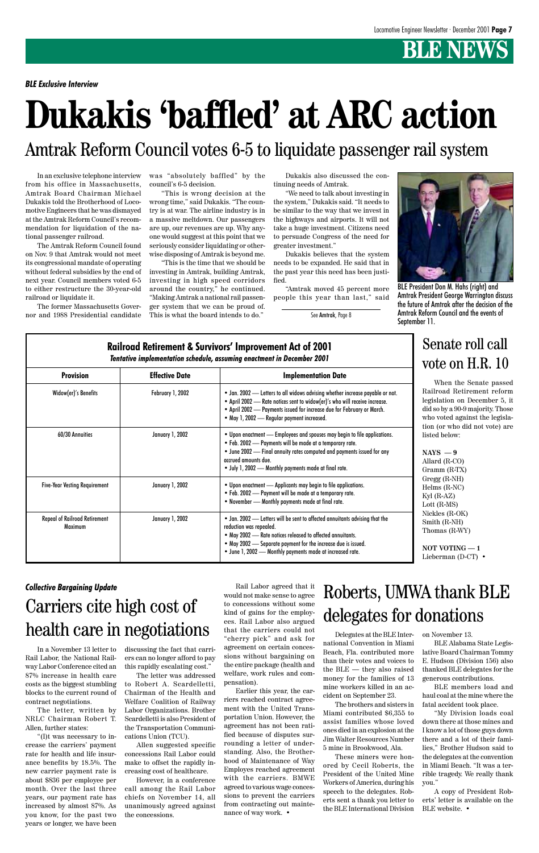# **BLE NEWS**

# **Dukakis 'baffled' at ARC action**

# Amtrak Reform Council votes 6-5 to liquidate passenger rail system

When the Senate passed Railroad Retirement reform legislation on December 5, it did so by a 90-9 majority. Those who voted against the legislation (or who did not vote) are listed below:

**NAYS — 9**

Allard (R-CO) Gramm (R-TX) Gregg (R-NH) Helms (R-NC) Kyl (R-AZ) Lott (R-MS) Nickles (R-OK) Smith (R-NH) Thomas (R-WY)

**NOT VOTING — 1** Lieberman (D-CT) •

#### **Railroad Retirement & Survivors' Improvement Act of 2001** *Tentative implementation schedule, assuming enactment in December 2001* **Provision Effective Date** Implementation Date Widow(er)'s Benefits 60/30 Annuities Five-Year Vesting Requirement Repeal of Railroad Retirement Maximum February 1, 2002 January 1, 2002 January 1, 2002 January 1, 2002 • Jan. 2002 — Letters to all widows advising whether increase payable or not. • April 2002 — Rate notices sent to widow(er)'s who will receive increase. • April 2002 — Payments issued for increase due for February or March. • May 1, 2002 — Regular payment increased. • Upon enactment — Employees and spouses may begin to file applications. • Feb. 2002 — Payments will be made at a temporary rate. • June 2002 — Final annuity rates computed and payments issued for any accrued amounts due. • July 1, 2002 — Monthly payments made at final rate. • Upon enactment — Applicants may begin to file applications. • Feb. 2002 — Payment will be made at a temporary rate. • November — Monthly payments made at final rate. • Jan. 2002 — Letters will be sent to affected annuitants advising that the reduction was repealed. • May 2002 — Rate notices released to affected annuitants. • May 2002 — Separate payment for the increase due is issued. • June 1, 2002 — Monthly payments made at increased rate.

### Senate roll call vote on H.R. 10

Delegates at the BLE International Convention in Miami Beach, Fla. contributed more than their votes and voices to the BLE — they also raised money for the families of 13 mine workers killed in an accident on September 23.

The brothers and sisters in Miami contributed \$6,355 to assist families whose loved ones died in an explosion at the Jim Walter Resources Number 5 mine in Brookwood, Ala.

These miners were honored by Cecil Roberts, the President of the United Mine Workers of America, during his speech to the delegates. Roberts sent a thank you letter to the BLE International Division on November 13.

BLE Alabama State Legislative Board Chairman Tommy E. Hudson (Division 156) also thanked BLE delegates for the generous contributions.

BLE members load and haul coal at the mine where the fatal accident took place.

"My Division loads coal down there at those mines and I know a lot of those guys down there and a lot of their families," Brother Hudson said to the delegates at the convention in Miami Beach. "It was a terrible tragedy. We really thank you."

A copy of President Roberts' letter is available on the BLE website. •

Roberts, UMWA thank BLE delegates for donations

#### *Collective Bargaining Update*

Carriers cite high cost of

# health care in negotiations

In a November 13 letter to Rail Labor, the National Railway Labor Conference cited an 87% increase in health care costs as the biggest stumbling blocks to the current round of contract negotiations.

The letter, written by NRLC Chairman Robert T. Allen, further states:

"(I)t was necessary to increase the carriers' payment rate for health and life insurance benefits by 18.5%. The new carrier payment rate is about \$836 per employee per month. Over the last three years, our payment rate has increased by almost 87%. As you know, for the past two years or longer, we have been discussing the fact that carriers can no longer afford to pay this rapidly escalating cost."

The letter was addressed to Robert A. Scardelletti, Chairman of the Health and Welfare Coalition of Railway Labor Organizations. Brother Scardelletti is also President of the Transportation Communications Union (TCU).

Allen suggested specific concessions Rail Labor could make to offset the rapidly increasing cost of healthcare.

However, in a conference call among the Rail Labor chiefs on November 14, all unanimously agreed against the concessions.

Rail Labor agreed that it would not make sense to agree to concessions without some kind of gains for the employees. Rail Labor also argued that the carriers could not "cherry pick" and ask for agreement on certain concessions without bargaining on the entire package (health and welfare, work rules and compensation). Earlier this year, the carriers reached contract agreement with the United Transportation Union. However, the agreement has not been ratified because of disputes surrounding a letter of understanding. Also, the Brotherhood of Maintenance of Way Employes reached agreement with the carriers. BMWE agreed to various wage concessions to prevent the carriers from contracting out maintenance of way work. •

*BLE Exclusive Interview*



BLE President Don M. Hahs (right) and Amtrak President George Warrington discuss the future of Amtrak after the decision of the Amtrak Reform Council and the events of September 11.

In an exclusive telephone interview from his office in Massachusetts, Amtrak Board Chairman Michael Dukakis told the Brotherhood of Locomotive Engineers that he was dismayed at the Amtrak Reform Council's recommendation for liquidation of the national passenger railroad.

The Amtrak Reform Council found on Nov. 9 that Amtrak would not meet its congressional mandate of operating without federal subsidies by the end of next year. Council members voted 6-5 to either restructure the 30-year-old railroad or liquidate it.

The former Massachusetts Governor and 1988 Presidential candidate was "absolutely baffled" by the council's 6-5 decision.

"This is wrong decision at the wrong time," said Dukakis. "The country is at war. The airline industry is in a massive meltdown. Our passengers are up, our revenues are up. Why anyone would suggest at this point that we seriously consider liquidating or otherwise disposing of Amtrak is beyond me.

"This is the time that we should be investing in Amtrak, building Amtrak, investing in high speed corridors around the country," he continued. "Making Amtrak a national rail passenger system that we can be proud of. This is what the board intends to do."

Dukakis also discussed the continuing needs of Amtrak.

"We need to talk about investing in the system," Dukakis said. "It needs to be similar to the way that we invest in the highways and airports. It will not take a huge investment. Citizens need to persuade Congress of the need for greater investment."

Dukakis believes that the system needs to be expanded. He said that in the past year this need has been justified.

"Amtrak moved 45 percent more people this year than last," said

See Amtrak, Page 8